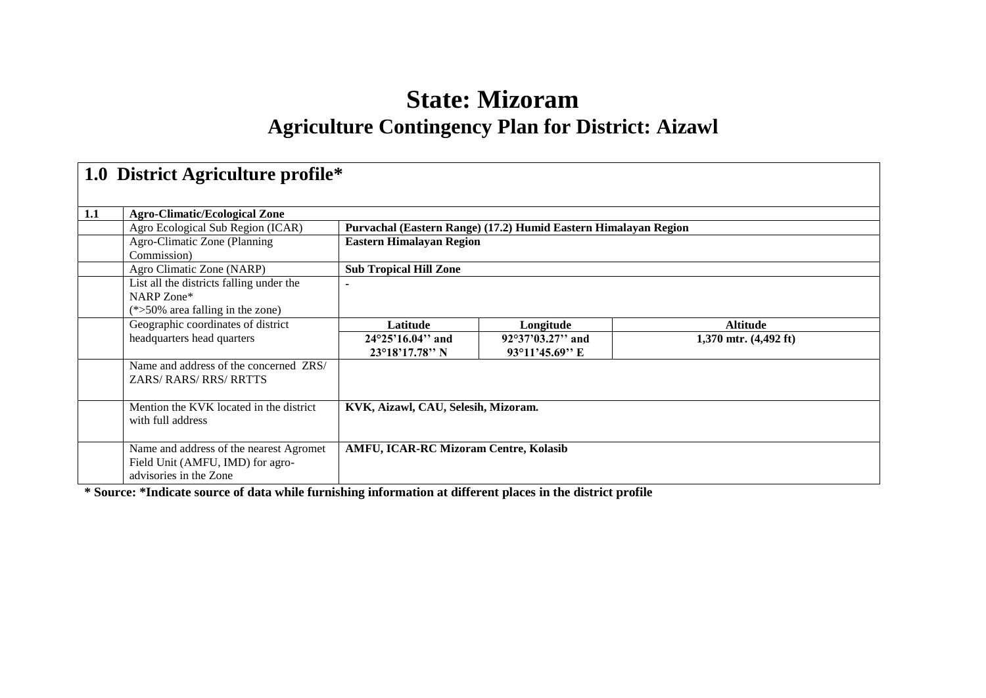# **State: Mizoram Agriculture Contingency Plan for District: Aizawl**

|     | 1.0 District Agriculture profile*                                                                     |                                                       |                                                                 |                                 |  |  |  |  |
|-----|-------------------------------------------------------------------------------------------------------|-------------------------------------------------------|-----------------------------------------------------------------|---------------------------------|--|--|--|--|
| 1.1 | <b>Agro-Climatic/Ecological Zone</b>                                                                  |                                                       |                                                                 |                                 |  |  |  |  |
|     | Agro Ecological Sub Region (ICAR)                                                                     |                                                       | Purvachal (Eastern Range) (17.2) Humid Eastern Himalayan Region |                                 |  |  |  |  |
|     | Agro-Climatic Zone (Planning                                                                          | <b>Eastern Himalayan Region</b>                       |                                                                 |                                 |  |  |  |  |
|     | Commission)                                                                                           |                                                       |                                                                 |                                 |  |  |  |  |
|     | Agro Climatic Zone (NARP)                                                                             | <b>Sub Tropical Hill Zone</b>                         |                                                                 |                                 |  |  |  |  |
|     | List all the districts falling under the                                                              |                                                       |                                                                 |                                 |  |  |  |  |
|     | NARP Zone*                                                                                            |                                                       |                                                                 |                                 |  |  |  |  |
|     | $(*>50\%$ area falling in the zone)                                                                   |                                                       |                                                                 |                                 |  |  |  |  |
|     | Geographic coordinates of district                                                                    | Latitude                                              | Longitude                                                       | <b>Altitude</b>                 |  |  |  |  |
|     | headquarters head quarters                                                                            | $24^{\circ}25'16.04"$ and<br>$23^{\circ}18'17.78''$ N | $92^{\circ}37'03.27''$ and<br>$93^{\circ}11'45.69''$ E          | 1,370 mtr. $(4,492 \text{ ft})$ |  |  |  |  |
|     | Name and address of the concerned ZRS/                                                                |                                                       |                                                                 |                                 |  |  |  |  |
|     | <b>ZARS/ RARS/ RRS/ RRTTS</b>                                                                         |                                                       |                                                                 |                                 |  |  |  |  |
|     | Mention the KVK located in the district<br>with full address                                          | KVK, Aizawl, CAU, Selesih, Mizoram.                   |                                                                 |                                 |  |  |  |  |
|     | Name and address of the nearest Agromet<br>Field Unit (AMFU, IMD) for agro-<br>advisories in the Zone | <b>AMFU, ICAR-RC Mizoram Centre, Kolasib</b>          |                                                                 |                                 |  |  |  |  |

**\* Source: \*Indicate source of data while furnishing information at different places in the district profile**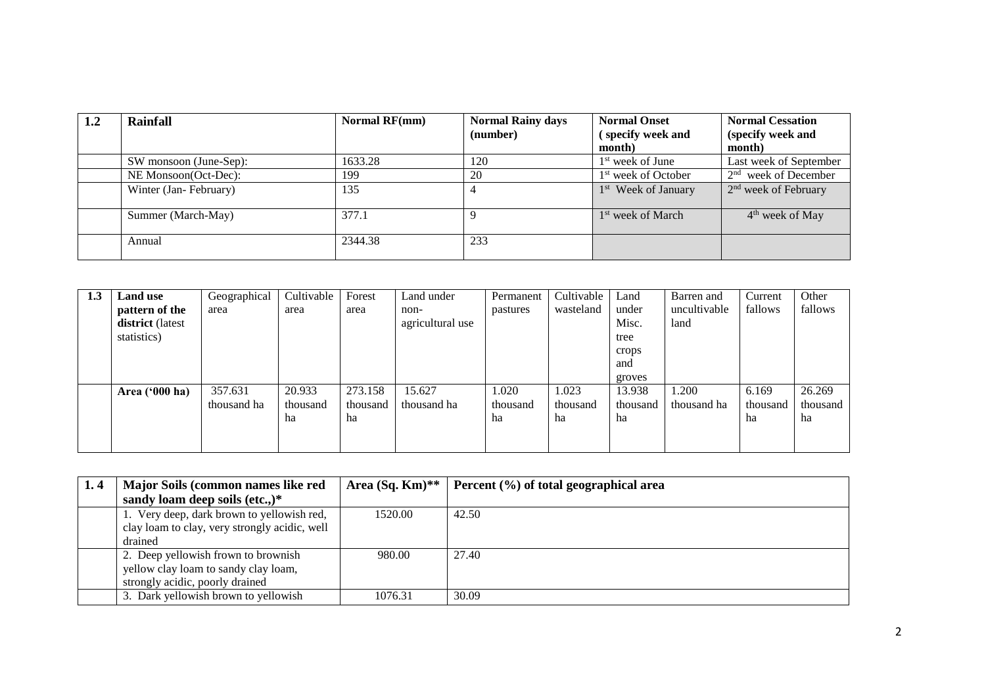| 1.2 | Rainfall               | Normal RF(mm) | <b>Normal Rainy days</b><br>(number) | <b>Normal Onset</b><br>(specify week and<br>month) | <b>Normal Cessation</b><br>(specify week and<br>month) |
|-----|------------------------|---------------|--------------------------------------|----------------------------------------------------|--------------------------------------------------------|
|     | SW monsoon (June-Sep): | 1633.28       | 120                                  | $1st$ week of June                                 | Last week of September                                 |
|     | NE Monsoon(Oct-Dec):   | 199           | 20                                   | 1 <sup>st</sup> week of October                    | $2nd$ week of December                                 |
|     | Winter (Jan-February)  | 135           |                                      | 1 <sup>st</sup> Week of January                    | $2nd$ week of February                                 |
|     | Summer (March-May)     | 377.1         |                                      | 1 <sup>st</sup> week of March                      | 4 <sup>th</sup> week of May                            |
|     | Annual                 | 2344.38       | 233                                  |                                                    |                                                        |

| 1.3 | <b>Land use</b>  | Geographical | Cultivable | Forest   | Land under       | Permanent | Cultivable | Land     | Barren and   | Current  | Other    |
|-----|------------------|--------------|------------|----------|------------------|-----------|------------|----------|--------------|----------|----------|
|     | pattern of the   | area         | area       | area     | non-             | pastures  | wasteland  | under    | uncultivable | fallows  | fallows  |
|     | district (latest |              |            |          | agricultural use |           |            | Misc.    | land         |          |          |
|     | statistics)      |              |            |          |                  |           |            | tree     |              |          |          |
|     |                  |              |            |          |                  |           |            | crops    |              |          |          |
|     |                  |              |            |          |                  |           |            | and      |              |          |          |
|     |                  |              |            |          |                  |           |            | groves   |              |          |          |
|     | Area $('000 ha)$ | 357.631      | 20.933     | 273.158  | 15.627           | 1.020     | 1.023      | 13.938   | 1.200        | 6.169    | 26.269   |
|     |                  | thousand ha  | thousand   | thousand | thousand ha      | thousand  | thousand   | thousand | thousand ha  | thousand | thousand |
|     |                  |              | ha         | ha       |                  | ha        | ha         | ha       |              | ha       | ha       |
|     |                  |              |            |          |                  |           |            |          |              |          |          |
|     |                  |              |            |          |                  |           |            |          |              |          |          |

| 1.4 | Major Soils (common names like red            | Area $(Sq, Km)^{**}$ | Percent (%) of total geographical area |
|-----|-----------------------------------------------|----------------------|----------------------------------------|
|     | sandy loam deep soils (etc.,) $*$             |                      |                                        |
|     | 1. Very deep, dark brown to yellowish red,    | 1520.00              | 42.50                                  |
|     | clay loam to clay, very strongly acidic, well |                      |                                        |
|     | drained                                       |                      |                                        |
|     | 2. Deep yellowish frown to brownish           | 980.00               | 27.40                                  |
|     | yellow clay loam to sandy clay loam,          |                      |                                        |
|     | strongly acidic, poorly drained               |                      |                                        |
|     | 3. Dark yellowish brown to yellowish          | 1076.31              | 30.09                                  |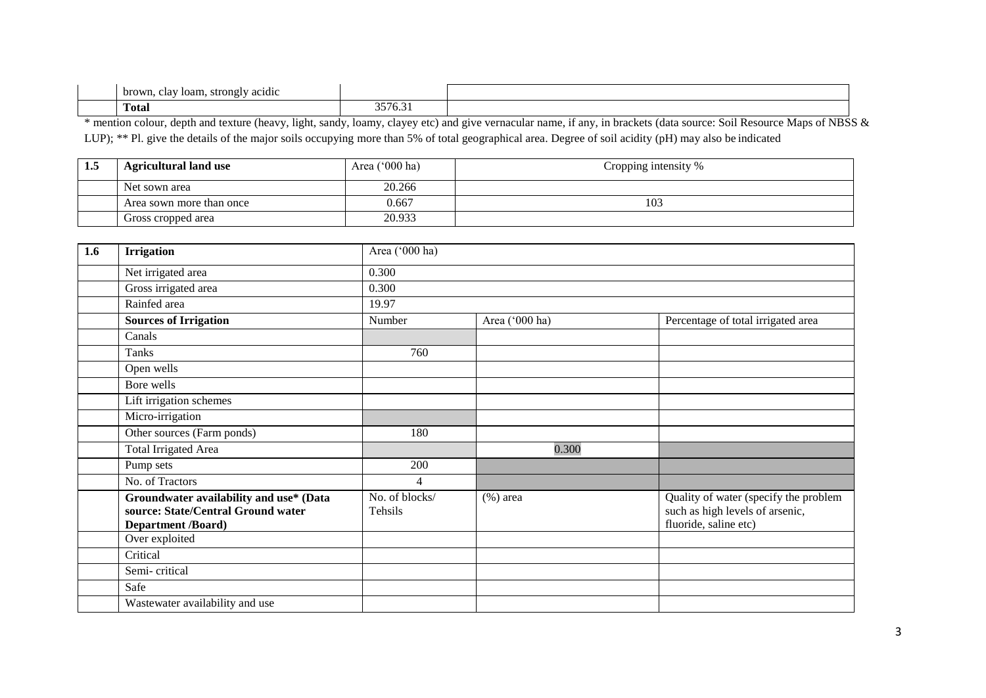| brown<br>clav loam.<br>_strongTv<br>acidic<br>. |                                        |  |
|-------------------------------------------------|----------------------------------------|--|
| m<br><b>f</b> otal                              | $\sim$ $\sim$ $\sim$<br>$\cdot$<br>ر ر |  |

\* mention colour, depth and texture (heavy, light, sandy, loamy, clayey etc) and give vernacular name, if any, in brackets (data source: Soil Resource Maps of NBSS & LUP); \*\* Pl. give the details of the major soils occupying more than 5% of total geographical area. Degree of soil acidity (pH) may also be indicated

| 1.5 | <b>Agricultural land use</b> | Area $('000 ha)$ | Cropping intensity % |
|-----|------------------------------|------------------|----------------------|
|     | Net sown area                | 20.266           |                      |
|     | Area sown more than once     | 0.667            | 103                  |
|     | Gross cropped area           | 20.933           |                      |

| 1.6 | <b>Irrigation</b>                                                                                          | Area ('000 ha)            |                |                                                                                                   |  |  |  |  |
|-----|------------------------------------------------------------------------------------------------------------|---------------------------|----------------|---------------------------------------------------------------------------------------------------|--|--|--|--|
|     | Net irrigated area                                                                                         | 0.300                     |                |                                                                                                   |  |  |  |  |
|     | Gross irrigated area                                                                                       | 0.300                     |                |                                                                                                   |  |  |  |  |
|     | Rainfed area                                                                                               | 19.97                     |                |                                                                                                   |  |  |  |  |
|     | <b>Sources of Irrigation</b>                                                                               | Number                    | Area ('000 ha) | Percentage of total irrigated area                                                                |  |  |  |  |
|     | Canals                                                                                                     |                           |                |                                                                                                   |  |  |  |  |
|     | Tanks                                                                                                      | 760                       |                |                                                                                                   |  |  |  |  |
|     | Open wells                                                                                                 |                           |                |                                                                                                   |  |  |  |  |
|     | Bore wells                                                                                                 |                           |                |                                                                                                   |  |  |  |  |
|     | Lift irrigation schemes                                                                                    |                           |                |                                                                                                   |  |  |  |  |
|     | Micro-irrigation                                                                                           |                           |                |                                                                                                   |  |  |  |  |
|     | Other sources (Farm ponds)                                                                                 | 180                       |                |                                                                                                   |  |  |  |  |
|     | <b>Total Irrigated Area</b>                                                                                |                           | 0.300          |                                                                                                   |  |  |  |  |
|     | Pump sets                                                                                                  | 200                       |                |                                                                                                   |  |  |  |  |
|     | No. of Tractors                                                                                            | $\overline{4}$            |                |                                                                                                   |  |  |  |  |
|     | Groundwater availability and use* (Data<br>source: State/Central Ground water<br><b>Department /Board)</b> | No. of blocks/<br>Tehsils | $(\%)$ area    | Quality of water (specify the problem<br>such as high levels of arsenic,<br>fluoride, saline etc) |  |  |  |  |
|     | Over exploited                                                                                             |                           |                |                                                                                                   |  |  |  |  |
|     | Critical                                                                                                   |                           |                |                                                                                                   |  |  |  |  |
|     | Semi-critical                                                                                              |                           |                |                                                                                                   |  |  |  |  |
|     | Safe                                                                                                       |                           |                |                                                                                                   |  |  |  |  |
|     | Wastewater availability and use                                                                            |                           |                |                                                                                                   |  |  |  |  |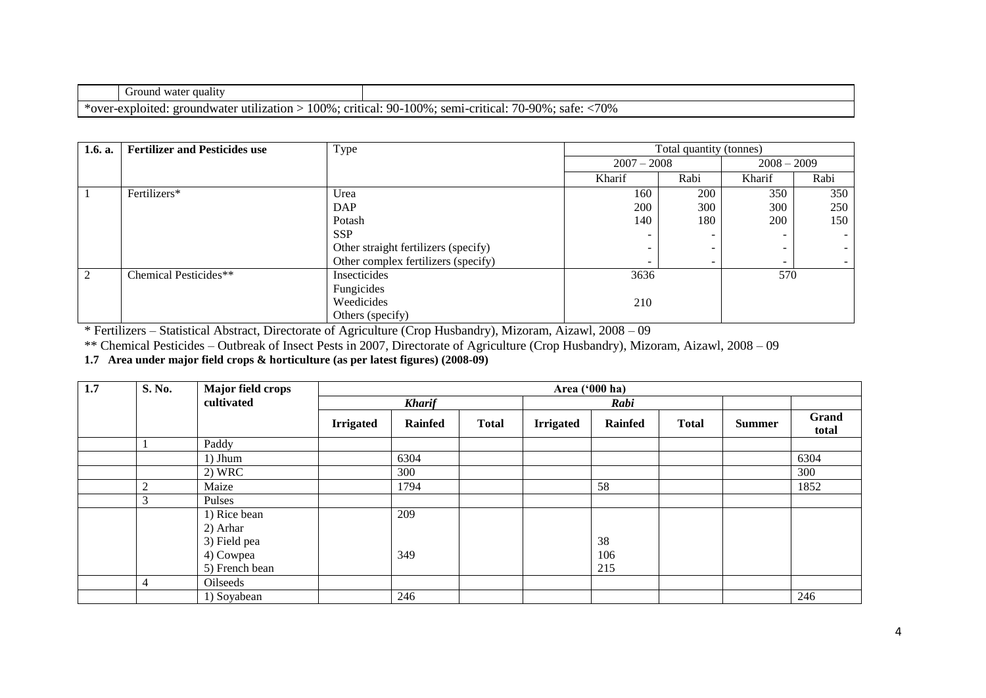|                        | quality<br>Ground<br>water                                                              |                                                                                          |
|------------------------|-----------------------------------------------------------------------------------------|------------------------------------------------------------------------------------------|
| $\mathbf{A}$<br>$\tau$ | $00\%$<br>critical:<br>utilization '<br>loited:<br>. groundwater<br><b>. .</b><br>้⊾∧เл | .70%<br>$\Omega$<br>100%<br>-90-<br>sem <sub>1</sub><br>$-90\%$ .<br>sate:<br>-critical. |

| 1.6. a. | <b>Fertilizer and Pesticides use</b> | Type                                 | Total quantity (tonnes) |            |               |      |
|---------|--------------------------------------|--------------------------------------|-------------------------|------------|---------------|------|
|         |                                      |                                      | $2007 - 2008$           |            | $2008 - 2009$ |      |
|         |                                      |                                      | Kharif                  | Rabi       | Kharif        | Rabi |
|         | Fertilizers*                         | Urea                                 | 160                     | <b>200</b> | 350           | 350  |
|         |                                      | DAP                                  | 200                     | 300        | 300           | 250  |
|         |                                      | Potash                               | 140                     | 180        | 200           | 150  |
|         |                                      | <b>SSP</b>                           |                         |            | -             |      |
|         |                                      | Other straight fertilizers (specify) |                         |            | -             |      |
|         |                                      | Other complex fertilizers (specify)  | -                       |            | -             |      |
|         | Chemical Pesticides**                | Insecticides                         | 3636                    |            | 570           |      |
|         |                                      | Fungicides                           |                         |            |               |      |
|         |                                      | Weedicides                           | 210                     |            |               |      |
|         |                                      | Others (specify)                     |                         |            |               |      |

\* Fertilizers – Statistical Abstract, Directorate of Agriculture (Crop Husbandry), Mizoram, Aizawl, 2008 – 09

\*\* Chemical Pesticides – Outbreak of Insect Pests in 2007, Directorate of Agriculture (Crop Husbandry), Mizoram, Aizawl, 2008 – 09

**1.7 Area under major field crops & horticulture (as per latest figures) (2008-09)** 

| 1.7 | S. No.         | Major field crops<br>cultivated |                  |                |              |                  | Area ('000 ha) |              |               |                |
|-----|----------------|---------------------------------|------------------|----------------|--------------|------------------|----------------|--------------|---------------|----------------|
|     |                |                                 |                  | <b>Kharif</b>  |              | Rabi             |                |              |               |                |
|     |                |                                 | <b>Irrigated</b> | <b>Rainfed</b> | <b>Total</b> | <b>Irrigated</b> | <b>Rainfed</b> | <b>Total</b> | <b>Summer</b> | Grand<br>total |
|     |                | Paddy                           |                  |                |              |                  |                |              |               |                |
|     |                | $1)$ Jhum                       |                  | 6304           |              |                  |                |              |               | 6304           |
|     |                | 2) WRC                          |                  | 300            |              |                  |                |              |               | 300            |
|     | $\overline{c}$ | Maize                           |                  | 1794           |              |                  | 58             |              |               | 1852           |
|     | 3              | Pulses                          |                  |                |              |                  |                |              |               |                |
|     |                | 1) Rice bean                    |                  | 209            |              |                  |                |              |               |                |
|     |                | 2) Arhar                        |                  |                |              |                  |                |              |               |                |
|     |                | 3) Field pea                    |                  |                |              |                  | 38             |              |               |                |
|     |                | 4) Cowpea                       |                  | 349            |              |                  | 106            |              |               |                |
|     |                | 5) French bean                  |                  |                |              |                  | 215            |              |               |                |
|     | $\overline{4}$ | Oilseeds                        |                  |                |              |                  |                |              |               |                |
|     |                | 1) Soyabean                     |                  | 246            |              |                  |                |              |               | 246            |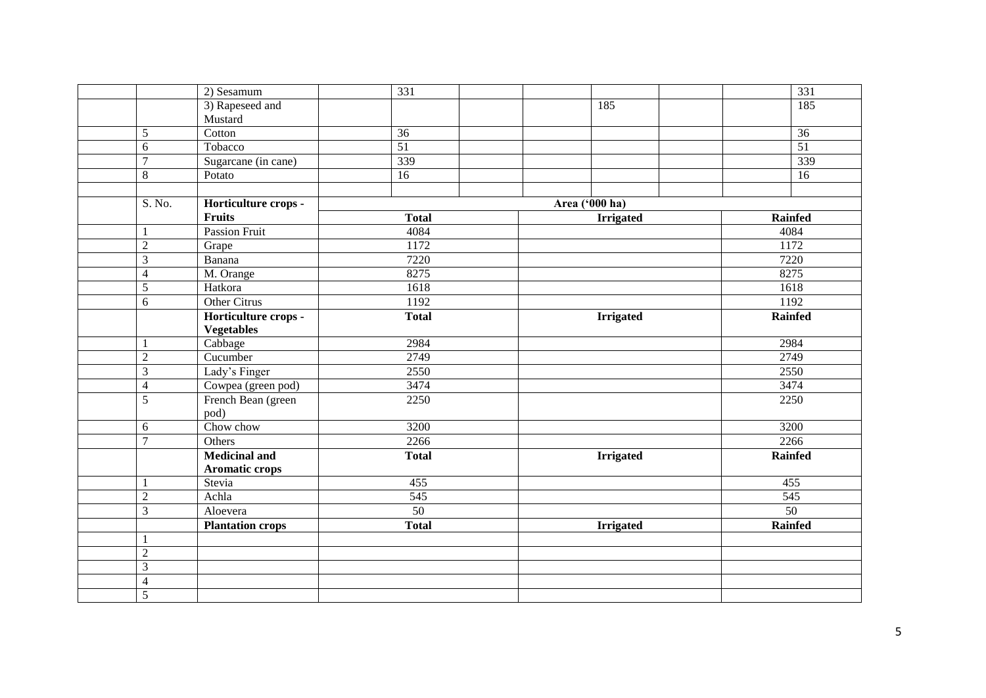|                | $\overline{2}$ ) Sesamum       | 331             |                  | 331             |
|----------------|--------------------------------|-----------------|------------------|-----------------|
|                | 3) Rapeseed and                |                 | 185              | 185             |
|                | Mustard                        |                 |                  |                 |
| 5              | Cotton                         | 36              |                  | 36              |
| $6\,$          | Tobacco                        | $\overline{51}$ |                  | $\overline{51}$ |
| $\overline{7}$ | Sugarcane (in cane)            | 339             |                  | 339             |
| $8\,$          | Potato                         | 16              |                  | 16              |
|                |                                |                 |                  |                 |
|                | S. No.<br>Horticulture crops - |                 | Area ('000 ha)   |                 |
|                | <b>Fruits</b>                  | <b>Total</b>    | <b>Irrigated</b> | <b>Rainfed</b>  |
| -1             | <b>Passion Fruit</b>           | 4084            |                  | 4084            |
| $\overline{2}$ | Grape                          | 1172            |                  | 1172            |
| 3              | Banana                         | 7220            |                  | 7220            |
| $\overline{4}$ | M. Orange                      | 8275            |                  | 8275            |
| $\overline{5}$ | Hatkora                        | 1618            |                  | 1618            |
| 6              | Other Citrus                   | 1192            |                  | 1192            |
|                | Horticulture crops -           | <b>Total</b>    | <b>Irrigated</b> | <b>Rainfed</b>  |
|                | <b>Vegetables</b>              |                 |                  |                 |
| $\mathbf{1}$   | Cabbage                        | 2984            |                  | 2984            |
| $\overline{2}$ | Cucumber                       | 2749            |                  | 2749            |
| $\mathfrak{Z}$ | Lady's Finger                  | 2550            |                  | 2550            |
| $\overline{4}$ | Cowpea (green pod)             | 3474            |                  | 3474            |
| 5              | French Bean (green<br>pod)     | 2250            |                  | 2250            |
| 6              | Chow chow                      | 3200            |                  | 3200            |
| $\overline{7}$ | Others                         | 2266            |                  | 2266            |
|                | <b>Medicinal and</b>           | <b>Total</b>    | <b>Irrigated</b> | Rainfed         |
|                | <b>Aromatic crops</b>          |                 |                  |                 |
| $\mathbf{1}$   | Stevia                         | 455             |                  | 455             |
| $\overline{2}$ | Achla                          | 545             |                  | 545             |
| $\overline{3}$ | Aloevera                       | 50              |                  | $\overline{50}$ |
|                | <b>Plantation crops</b>        | <b>Total</b>    | <b>Irrigated</b> | Rainfed         |
| $\mathbf{1}$   |                                |                 |                  |                 |
| $\overline{2}$ |                                |                 |                  |                 |
| $\mathfrak{Z}$ |                                |                 |                  |                 |
| $\overline{4}$ |                                |                 |                  |                 |
| $\overline{5}$ |                                |                 |                  |                 |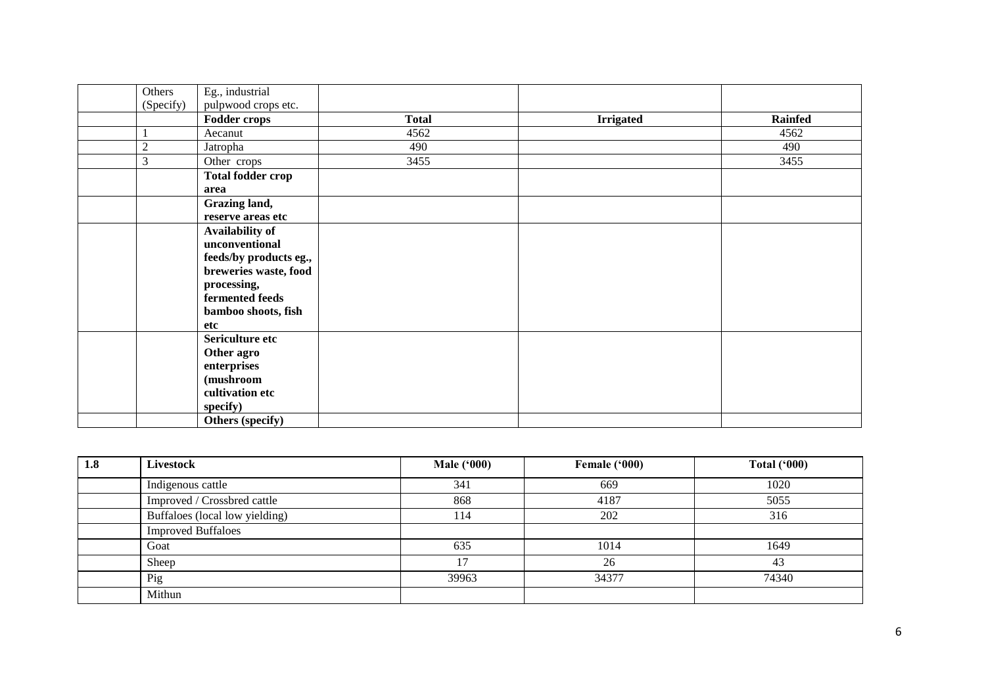| Others           | Eg., industrial                                             |              |                  |                |
|------------------|-------------------------------------------------------------|--------------|------------------|----------------|
| (Specify)        | pulpwood crops etc.                                         |              |                  |                |
|                  | Fodder crops                                                | <b>Total</b> | <b>Irrigated</b> | <b>Rainfed</b> |
|                  | Aecanut                                                     | 4562         |                  | 4562           |
| $\boldsymbol{2}$ | Jatropha                                                    | 490          |                  | 490            |
| 3                | Other crops                                                 | 3455         |                  | 3455           |
|                  | <b>Total fodder crop</b><br>area                            |              |                  |                |
|                  | Grazing land,<br>reserve areas etc                          |              |                  |                |
|                  | Availability of<br>unconventional<br>feeds/by products eg., |              |                  |                |
|                  | breweries waste, food<br>processing,                        |              |                  |                |
|                  | fermented feeds<br>bamboo shoots, fish<br>etc               |              |                  |                |
|                  | Sericulture etc<br>Other agro                               |              |                  |                |
|                  | enterprises<br>(mushroom<br>cultivation etc<br>specify)     |              |                  |                |
|                  | Others (specify)                                            |              |                  |                |

| 1.8 | <b>Livestock</b>               | <b>Male ('000)</b> | Female ('000) | <b>Total ('000)</b> |
|-----|--------------------------------|--------------------|---------------|---------------------|
|     | Indigenous cattle              | 341                | 669           | 1020                |
|     | Improved / Crossbred cattle    | 868                | 4187          | 5055                |
|     | Buffaloes (local low yielding) | 114                | 202           | 316                 |
|     | <b>Improved Buffaloes</b>      |                    |               |                     |
|     | Goat                           | 635                | 1014          | 1649                |
|     | Sheep                          | 17                 | 26            | 43                  |
|     | Pig                            | 39963              | 34377         | 74340               |
|     | Mithun                         |                    |               |                     |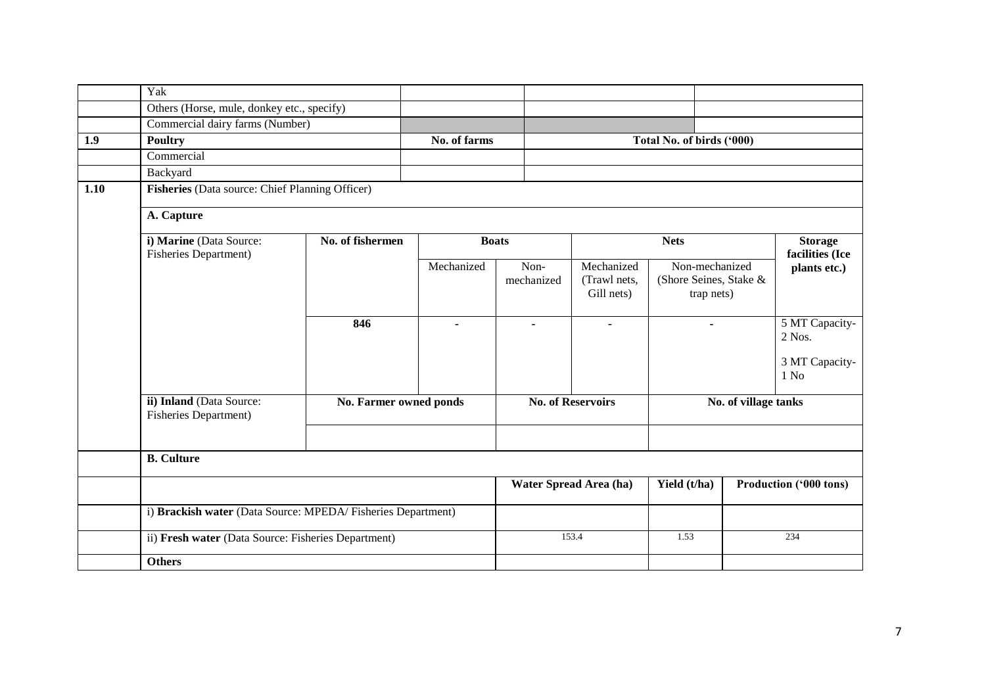|      | Yak                                                         |                                                 |              |                    |  |                                          |                                                        |                      |                                                                |  |  |
|------|-------------------------------------------------------------|-------------------------------------------------|--------------|--------------------|--|------------------------------------------|--------------------------------------------------------|----------------------|----------------------------------------------------------------|--|--|
|      | Others (Horse, mule, donkey etc., specify)                  |                                                 |              |                    |  |                                          |                                                        |                      |                                                                |  |  |
|      | Commercial dairy farms (Number)                             |                                                 |              |                    |  |                                          |                                                        |                      |                                                                |  |  |
| 1.9  | <b>Poultry</b>                                              |                                                 | No. of farms |                    |  |                                          | Total No. of birds ('000)                              |                      |                                                                |  |  |
|      | Commercial                                                  |                                                 |              |                    |  |                                          |                                                        |                      |                                                                |  |  |
|      | Backyard                                                    |                                                 |              |                    |  |                                          |                                                        |                      |                                                                |  |  |
| 1.10 |                                                             | Fisheries (Data source: Chief Planning Officer) |              |                    |  |                                          |                                                        |                      |                                                                |  |  |
|      | A. Capture                                                  |                                                 |              |                    |  |                                          |                                                        |                      |                                                                |  |  |
|      | i) Marine (Data Source:<br><b>Fisheries Department)</b>     | No. of fishermen                                |              | <b>Boats</b>       |  |                                          | <b>Nets</b>                                            |                      | <b>Storage</b><br>facilities (Ice                              |  |  |
|      |                                                             |                                                 | Mechanized   | Non-<br>mechanized |  | Mechanized<br>(Trawl nets,<br>Gill nets) | Non-mechanized<br>(Shore Seines, Stake &<br>trap nets) |                      | plants etc.)                                                   |  |  |
|      |                                                             | 846                                             |              |                    |  | $\mathbf{r}$                             | $\overline{\phantom{0}}$                               |                      | 5 MT Capacity-<br>2 Nos.<br>3 MT Capacity-<br>1 N <sub>0</sub> |  |  |
|      | ii) Inland (Data Source:<br><b>Fisheries Department)</b>    | No. Farmer owned ponds                          |              |                    |  | <b>No. of Reservoirs</b>                 |                                                        | No. of village tanks |                                                                |  |  |
|      | <b>B.</b> Culture                                           |                                                 |              |                    |  |                                          |                                                        |                      |                                                                |  |  |
|      |                                                             |                                                 |              |                    |  | Water Spread Area (ha)                   | Yield (t/ha)                                           |                      | <b>Production ('000 tons)</b>                                  |  |  |
|      | i) Brackish water (Data Source: MPEDA/Fisheries Department) |                                                 |              |                    |  |                                          |                                                        |                      |                                                                |  |  |
|      | ii) Fresh water (Data Source: Fisheries Department)         |                                                 |              |                    |  | 153.4                                    | 1.53                                                   |                      | 234                                                            |  |  |
|      | <b>Others</b>                                               |                                                 |              |                    |  |                                          |                                                        |                      |                                                                |  |  |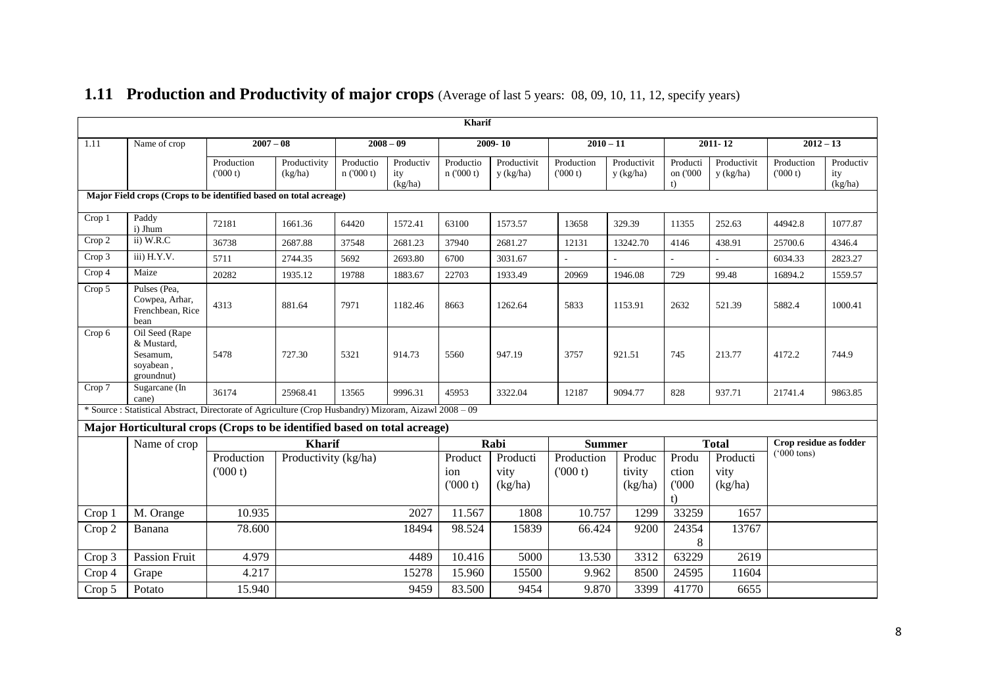|        |                                                                                                        | Kharif                |                         |                      |                             |                           |                             |                       |                             |                               |                             |                                                |                             |
|--------|--------------------------------------------------------------------------------------------------------|-----------------------|-------------------------|----------------------|-----------------------------|---------------------------|-----------------------------|-----------------------|-----------------------------|-------------------------------|-----------------------------|------------------------------------------------|-----------------------------|
| 1.11   | Name of crop                                                                                           | $2007 - 08$           |                         |                      | $2008 - 09$                 |                           | $2009 - 10$                 |                       | $2010 - 11$                 |                               | $2011 - 12$                 | $2012 - 13$                                    |                             |
|        |                                                                                                        | Production<br>(000 t) | Productivity<br>(kg/ha) | Productio<br>n(000t) | Productiv<br>ity<br>(kg/ha) | Productio<br>n(000 t)     | Productivit<br>y (kg/ha)    | Production<br>(000 t) | Productivit<br>y (kg/ha)    | Producti<br>on ('000<br>t)    | Productivit<br>y (kg/ha)    | Production<br>(000 t)                          | Productiv<br>ity<br>(kg/ha) |
|        | Major Field crops (Crops to be identified based on total acreage)                                      |                       |                         |                      |                             |                           |                             |                       |                             |                               |                             |                                                |                             |
| Crop 1 | Paddy<br>i) Jhum                                                                                       | 72181                 | 1661.36                 | 64420                | 1572.41                     | 63100                     | 1573.57                     | 13658                 | 329.39                      | 11355                         | 252.63                      | 44942.8                                        | 1077.87                     |
| Crop 2 | ii) W.R.C                                                                                              | 36738                 | 2687.88                 | 37548                | 2681.23                     | 37940                     | 2681.27                     | 12131                 | 13242.70                    | 4146                          | 438.91                      | 25700.6                                        | 4346.4                      |
| Crop 3 | iii) H.Y.V.                                                                                            | 5711                  | 2744.35                 | 5692                 | 2693.80                     | 6700                      | 3031.67                     |                       |                             | $\overline{a}$                |                             | 6034.33                                        | 2823.27                     |
| Crop 4 | Maize                                                                                                  | 20282                 | 1935.12                 | 19788                | 1883.67                     | 22703                     | 1933.49                     | 20969                 | 1946.08                     | 729                           | 99.48                       | 16894.2                                        | 1559.57                     |
| Crop 5 | Pulses (Pea.<br>Cowpea, Arhar,<br>Frenchbean, Rice<br>bean                                             | 4313                  | 881.64                  | 7971                 | 1182.46                     | 8663                      | 1262.64                     | 5833                  | 1153.91                     | 2632                          | 521.39                      | 5882.4                                         | 1000.41                     |
| Crop 6 | Oil Seed (Rape<br>& Mustard,<br>Sesamum,<br>soyabean,<br>groundnut)                                    | 5478                  | 727.30                  | 5321                 | 914.73                      | 5560                      | 947.19                      | 3757                  | 921.51                      | 745                           | 213.77                      | 4172.2                                         | 744.9                       |
| Crop 7 | Sugarcane (In<br>cane)                                                                                 | 36174                 | 25968.41                | 13565                | 9996.31                     | 45953                     | 3322.04                     | 12187                 | 9094.77                     | 828                           | 937.71                      | 21741.4                                        | 9863.85                     |
|        | * Source : Statistical Abstract, Directorate of Agriculture (Crop Husbandry) Mizoram, Aizawl 2008 - 09 |                       |                         |                      |                             |                           |                             |                       |                             |                               |                             |                                                |                             |
|        | Major Horticultural crops (Crops to be identified based on total acreage)                              |                       |                         |                      |                             |                           |                             |                       |                             |                               |                             |                                                |                             |
|        | Name of crop                                                                                           |                       | <b>Kharif</b>           |                      |                             |                           | Rabi                        |                       | <b>Summer</b>               |                               | <b>Total</b>                | Crop residue as fodder<br>$(000 \text{ tons})$ |                             |
|        |                                                                                                        | Production<br>(000 t) | Productivity (kg/ha)    |                      |                             | Product<br>ion<br>(000 t) | Producti<br>vity<br>(kg/ha) | Production<br>(000 t) | Produc<br>tivity<br>(kg/ha) | Produ<br>ction<br>(000)<br>t) | Producti<br>vity<br>(kg/ha) |                                                |                             |
| Crop 1 | M. Orange                                                                                              | 10.935                |                         |                      | 2027                        | 11.567                    | 1808                        | 10.757                | 1299                        | 33259                         | 1657                        |                                                |                             |
| Crop 2 | Banana                                                                                                 | 78.600                |                         |                      | 18494                       | 98.524                    | 15839                       | 66.424                | 9200                        | 24354<br>8                    | 13767                       |                                                |                             |
| Crop 3 | <b>Passion Fruit</b>                                                                                   | 4.979                 |                         |                      | 4489                        | 10.416                    | 5000                        | 13.530                | 3312                        | 63229                         | 2619                        |                                                |                             |
| Crop 4 | Grape                                                                                                  | 4.217                 |                         |                      | 15278                       | 15.960                    | 15500                       | 9.962                 | 8500                        | 24595                         | 11604                       |                                                |                             |
| Crop 5 | Potato                                                                                                 | 15.940                |                         |                      | 9459                        | 83.500                    | 9454                        | 9.870                 | 3399                        | 41770                         | 6655                        |                                                |                             |

## **1.11 Production and Productivity of major crops** (Average of last 5 years: 08, 09, 10, 11, 12, specify years)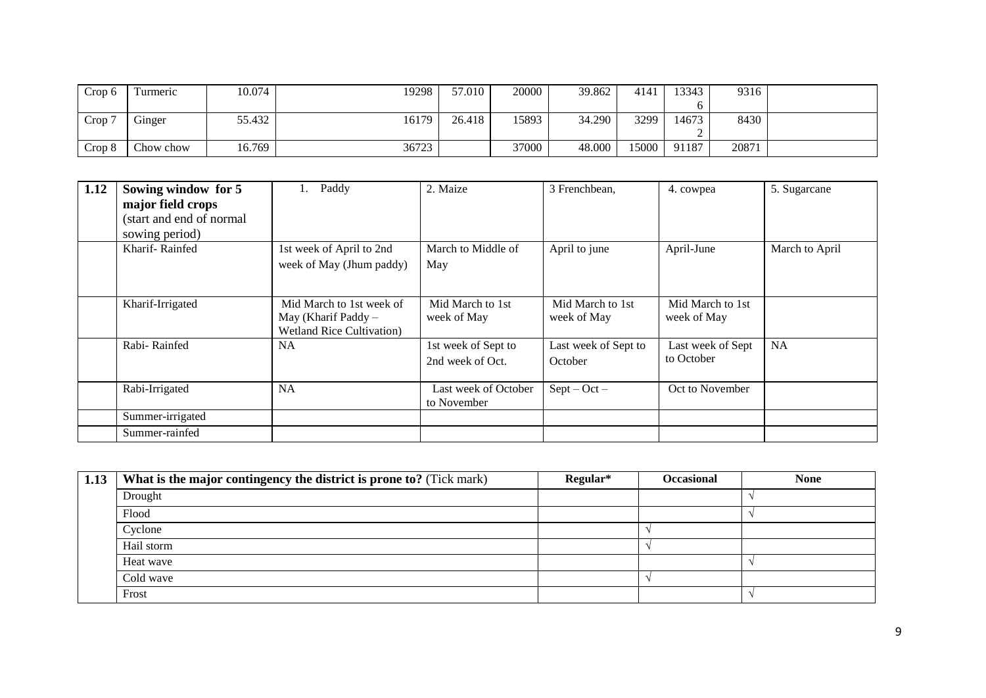| Crop 6 | l'urmeric | 10.074 | 19298 | 57.010 | 20000 | 39.862 | 4141  | 13343 | 9316  |  |
|--------|-----------|--------|-------|--------|-------|--------|-------|-------|-------|--|
|        |           |        |       |        |       |        |       |       |       |  |
| Crop 7 | Ginger    | 55.432 | 16179 | 26.418 | 15893 | 34.290 | 3299  | 14673 | 8430  |  |
|        |           |        |       |        |       |        |       |       |       |  |
| Crop 8 | Chow chow | 16.769 | 36723 |        | 37000 | 48.000 | 15000 | 91187 | 20871 |  |

| 1.12 | Sowing window for 5<br>major field crops<br>(start and end of normal<br>sowing period) | Paddy                                                                                  | 2. Maize                                | 3 Frenchbean,                   | 4. cowpea                       | 5. Sugarcane   |
|------|----------------------------------------------------------------------------------------|----------------------------------------------------------------------------------------|-----------------------------------------|---------------------------------|---------------------------------|----------------|
|      | Kharif-Rainfed                                                                         | 1st week of April to 2nd<br>week of May (Jhum paddy)                                   | March to Middle of<br>May               | April to june                   | April-June                      | March to April |
|      | Kharif-Irrigated                                                                       | Mid March to 1st week of<br>May (Kharif Paddy $-$<br><b>Wetland Rice Cultivation</b> ) | Mid March to 1st<br>week of May         | Mid March to 1st<br>week of May | Mid March to 1st<br>week of May |                |
|      | Rabi-Rainfed                                                                           | <b>NA</b>                                                                              | 1st week of Sept to<br>2nd week of Oct. | Last week of Sept to<br>October | Last week of Sept<br>to October | NA             |
|      | Rabi-Irrigated                                                                         | <b>NA</b>                                                                              | Last week of October<br>to November     | $Sept - Oct -$                  | Oct to November                 |                |
|      | Summer-irrigated                                                                       |                                                                                        |                                         |                                 |                                 |                |
|      | Summer-rainfed                                                                         |                                                                                        |                                         |                                 |                                 |                |

| 1.13 | What is the major contingency the district is prone to? (Tick mark) | Regular* | <b>Occasional</b> | <b>None</b> |
|------|---------------------------------------------------------------------|----------|-------------------|-------------|
|      | Drought                                                             |          |                   |             |
|      | Flood                                                               |          |                   |             |
|      | Cyclone                                                             |          |                   |             |
|      | Hail storm                                                          |          |                   |             |
|      | Heat wave                                                           |          |                   |             |
|      | Cold wave                                                           |          |                   |             |
|      | Frost                                                               |          |                   |             |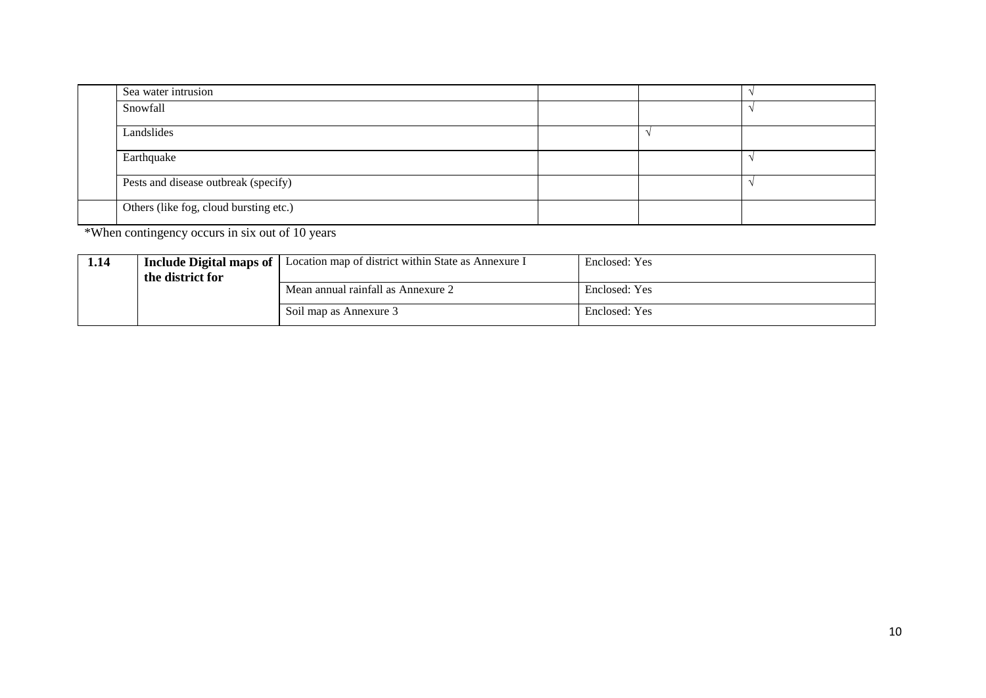|  | Sea water intrusion                    |  |  |
|--|----------------------------------------|--|--|
|  | Snowfall                               |  |  |
|  | Landslides                             |  |  |
|  | Earthquake                             |  |  |
|  | Pests and disease outbreak (specify)   |  |  |
|  | Others (like fog, cloud bursting etc.) |  |  |

\*When contingency occurs in six out of 10 years

| 1.14 | Include Digital maps of | Location map of district within State as Annexure I | Enclosed: Yes |
|------|-------------------------|-----------------------------------------------------|---------------|
|      | the district for        |                                                     |               |
|      |                         | Mean annual rainfall as Annexure 2                  | Enclosed: Yes |
|      |                         | Soil map as Annexure 3                              | Enclosed: Yes |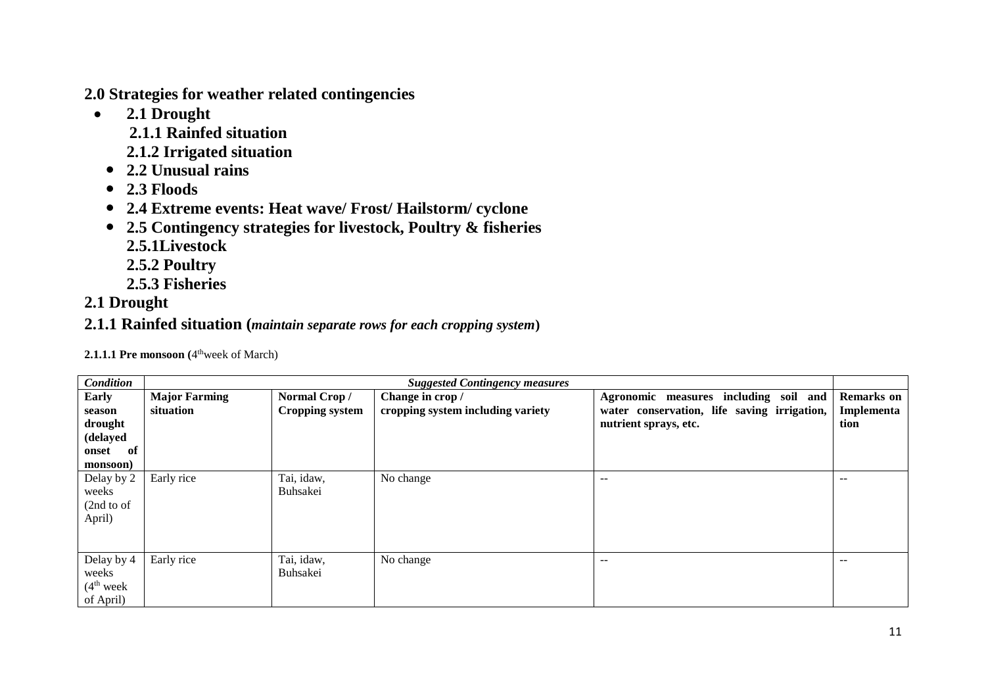**2.0 Strategies for weather related contingencies** 

- **2.1 Drought**
	- **2.1.1 Rainfed situation**
	- **2.1.2 Irrigated situation**
	- **2.2 Unusual rains**
	- **2.3 Floods**
	- **2.4 Extreme events: Heat wave/ Frost/ Hailstorm/ cyclone**
	- **2.5 Contingency strategies for livestock, Poultry & fisheries**
		- **2.5.1Livestock**
		- **2.5.2 Poultry**
		- **2.5.3 Fisheries**

### **2.1 Drought**

**2.1.1 Rainfed situation (***maintain separate rows for each cropping system***)**

| <b>2.1.1.1 Pre monsoon</b> ( $4^{\text{th}}$ week of March) |  |
|-------------------------------------------------------------|--|
|-------------------------------------------------------------|--|

| <b>Condition</b>       | <b>Suggested Contingency measures</b> |                        |                                   |                                             |                   |  |  |
|------------------------|---------------------------------------|------------------------|-----------------------------------|---------------------------------------------|-------------------|--|--|
| Early                  | <b>Major Farming</b>                  | Normal Crop/           | Change in crop /                  | Agronomic measures including soil and       | <b>Remarks</b> on |  |  |
| season                 | situation                             | <b>Cropping system</b> | cropping system including variety | water conservation, life saving irrigation, | Implementa        |  |  |
| drought                |                                       |                        |                                   | nutrient sprays, etc.                       | tion              |  |  |
| (delayed               |                                       |                        |                                   |                                             |                   |  |  |
| - of<br>onset          |                                       |                        |                                   |                                             |                   |  |  |
| monsoon)               |                                       |                        |                                   |                                             |                   |  |  |
| Delay by 2             | Early rice                            | Tai, idaw,             | No change                         | $\qquad \qquad -$                           | --                |  |  |
| weeks                  |                                       | <b>Buhsakei</b>        |                                   |                                             |                   |  |  |
| (2nd to of             |                                       |                        |                                   |                                             |                   |  |  |
| April)                 |                                       |                        |                                   |                                             |                   |  |  |
|                        |                                       |                        |                                   |                                             |                   |  |  |
|                        |                                       |                        |                                   |                                             |                   |  |  |
| Delay by 4             | Early rice                            | Tai, idaw,             | No change                         | $- -$                                       | --                |  |  |
| weeks                  |                                       | <b>Buhsakei</b>        |                                   |                                             |                   |  |  |
| (4 <sup>th</sup> week) |                                       |                        |                                   |                                             |                   |  |  |
| of April)              |                                       |                        |                                   |                                             |                   |  |  |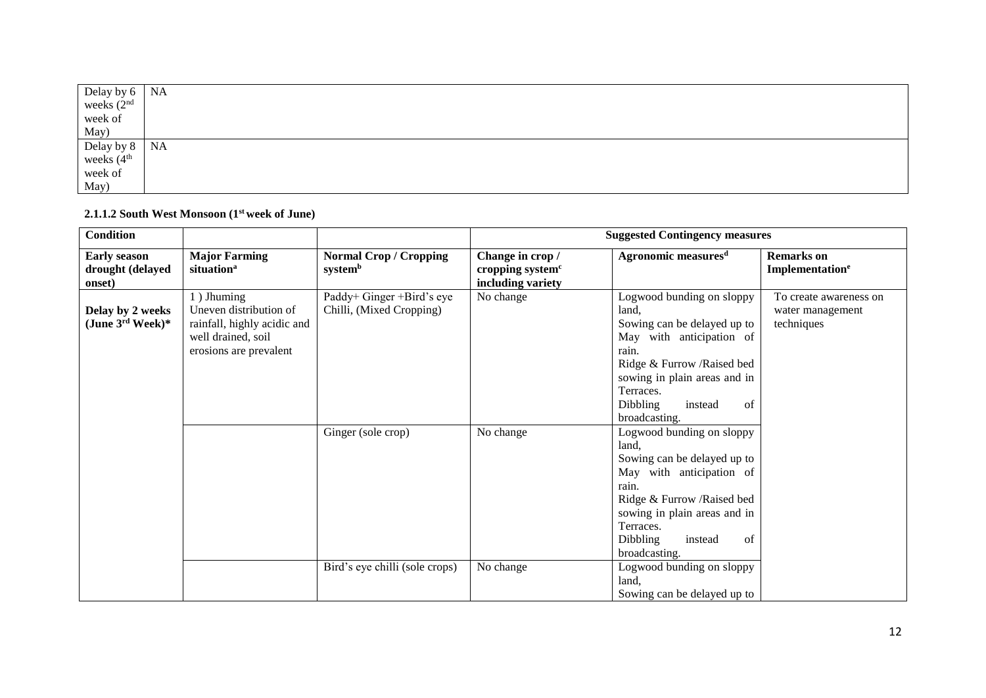| Delay by 6<br>weeks $(2nd$<br>week of                     | <b>NA</b> |
|-----------------------------------------------------------|-----------|
|                                                           |           |
|                                                           |           |
| May)                                                      |           |
|                                                           | <b>NA</b> |
|                                                           |           |
|                                                           |           |
| Delay by $8$<br>weeks $(4^{\text{th}}$<br>week of<br>May) |           |

#### **2.1.1.2 South West Monsoon (1st week of June)**

| <b>Condition</b>                                  |                                                                                                                     |                                                       |                                                                       | <b>Suggested Contingency measures</b>                                                                                                                                                                                                   |                                                          |
|---------------------------------------------------|---------------------------------------------------------------------------------------------------------------------|-------------------------------------------------------|-----------------------------------------------------------------------|-----------------------------------------------------------------------------------------------------------------------------------------------------------------------------------------------------------------------------------------|----------------------------------------------------------|
| <b>Early season</b><br>drought (delayed<br>onset) | <b>Major Farming</b><br>situation <sup>a</sup>                                                                      | <b>Normal Crop / Cropping</b><br>systemb              | Change in crop /<br>cropping system <sup>c</sup><br>including variety | Agronomic measures <sup>d</sup>                                                                                                                                                                                                         | <b>Remarks</b> on<br>Implementation <sup>e</sup>         |
| Delay by 2 weeks<br>(June $3^{\text{rd}}$ Week)*  | 1) Jhuming<br>Uneven distribution of<br>rainfall, highly acidic and<br>well drained, soil<br>erosions are prevalent | Paddy+ Ginger +Bird's eye<br>Chilli, (Mixed Cropping) | No change                                                             | Logwood bunding on sloppy<br>land.<br>Sowing can be delayed up to<br>May with anticipation of<br>rain.<br>Ridge & Furrow / Raised bed<br>sowing in plain areas and in<br>Terraces.<br><b>Dibbling</b><br>instead<br>of<br>broadcasting. | To create awareness on<br>water management<br>techniques |
|                                                   |                                                                                                                     | Ginger (sole crop)                                    | No change                                                             | Logwood bunding on sloppy<br>land,<br>Sowing can be delayed up to<br>May with anticipation of<br>rain.<br>Ridge & Furrow / Raised bed<br>sowing in plain areas and in<br>Terraces.<br><b>Dibbling</b><br>instead<br>of<br>broadcasting. |                                                          |
|                                                   |                                                                                                                     | Bird's eye chilli (sole crops)                        | No change                                                             | Logwood bunding on sloppy<br>land,<br>Sowing can be delayed up to                                                                                                                                                                       |                                                          |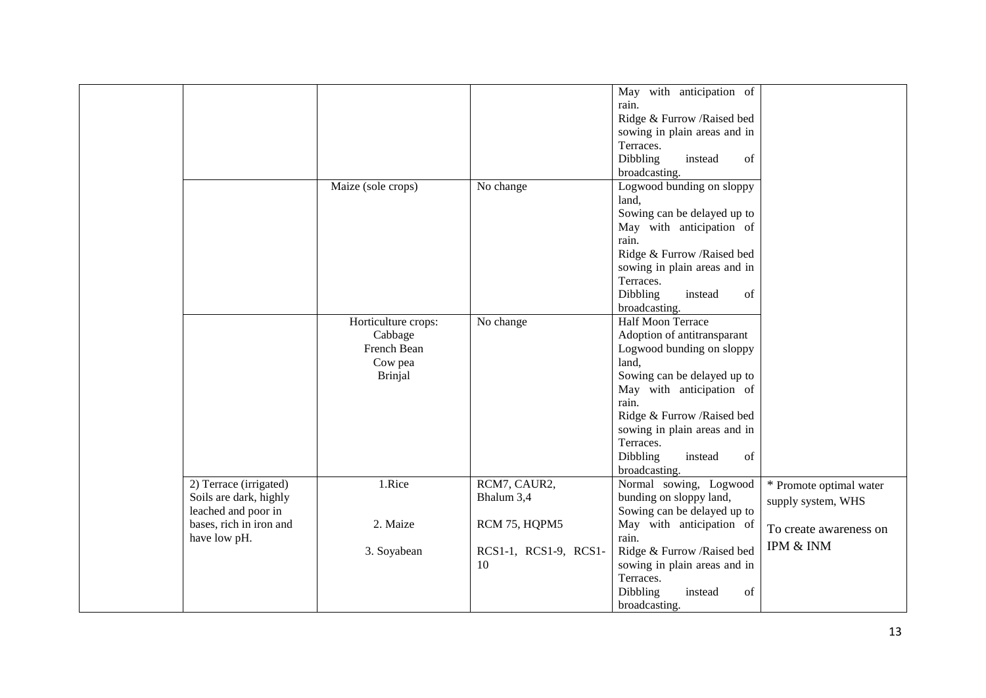| rain.<br>Ridge & Furrow / Raised bed<br>sowing in plain areas and in<br>Terraces.<br>Dibbling<br>instead<br>of<br>broadcasting.<br>Logwood bunding on sloppy<br>Maize (sole crops)<br>No change<br>land,<br>Sowing can be delayed up to<br>May with anticipation of<br>rain.<br>Ridge & Furrow / Raised bed<br>sowing in plain areas and in<br>Terraces.<br>Dibbling<br>of<br>instead<br>broadcasting.<br>Half Moon Terrace<br>Horticulture crops:<br>No change<br>Adoption of antitransparant<br>Cabbage<br>French Bean<br>Logwood bunding on sloppy<br>Cow pea<br>land,<br>Sowing can be delayed up to<br><b>Brinjal</b><br>May with anticipation of<br>rain.<br>Ridge & Furrow / Raised bed<br>sowing in plain areas and in<br>Terraces.<br>Dibbling<br>instead<br>of<br>broadcasting.<br>1.Rice<br>2) Terrace (irrigated)<br>RCM7, CAUR2,<br>Normal sowing, Logwood<br>* Promote optimal water<br>Soils are dark, highly<br>Bhalum 3,4<br>bunding on sloppy land,<br>supply system, WHS<br>Sowing can be delayed up to<br>leached and poor in<br>bases, rich in iron and<br>2. Maize<br>RCM 75, HQPM5<br>May with anticipation of<br>To create awareness on<br>rain.<br>have low pH.<br>IPM & INM<br>Ridge & Furrow /Raised bed<br>3. Soyabean<br>RCS1-1, RCS1-9, RCS1-<br>sowing in plain areas and in<br>10<br>Terraces.<br>Dibbling<br>instead<br>of<br>broadcasting. |  |  |                          |  |
|------------------------------------------------------------------------------------------------------------------------------------------------------------------------------------------------------------------------------------------------------------------------------------------------------------------------------------------------------------------------------------------------------------------------------------------------------------------------------------------------------------------------------------------------------------------------------------------------------------------------------------------------------------------------------------------------------------------------------------------------------------------------------------------------------------------------------------------------------------------------------------------------------------------------------------------------------------------------------------------------------------------------------------------------------------------------------------------------------------------------------------------------------------------------------------------------------------------------------------------------------------------------------------------------------------------------------------------------------------------------------|--|--|--------------------------|--|
|                                                                                                                                                                                                                                                                                                                                                                                                                                                                                                                                                                                                                                                                                                                                                                                                                                                                                                                                                                                                                                                                                                                                                                                                                                                                                                                                                                              |  |  | May with anticipation of |  |
|                                                                                                                                                                                                                                                                                                                                                                                                                                                                                                                                                                                                                                                                                                                                                                                                                                                                                                                                                                                                                                                                                                                                                                                                                                                                                                                                                                              |  |  |                          |  |
|                                                                                                                                                                                                                                                                                                                                                                                                                                                                                                                                                                                                                                                                                                                                                                                                                                                                                                                                                                                                                                                                                                                                                                                                                                                                                                                                                                              |  |  |                          |  |
|                                                                                                                                                                                                                                                                                                                                                                                                                                                                                                                                                                                                                                                                                                                                                                                                                                                                                                                                                                                                                                                                                                                                                                                                                                                                                                                                                                              |  |  |                          |  |
|                                                                                                                                                                                                                                                                                                                                                                                                                                                                                                                                                                                                                                                                                                                                                                                                                                                                                                                                                                                                                                                                                                                                                                                                                                                                                                                                                                              |  |  |                          |  |
|                                                                                                                                                                                                                                                                                                                                                                                                                                                                                                                                                                                                                                                                                                                                                                                                                                                                                                                                                                                                                                                                                                                                                                                                                                                                                                                                                                              |  |  |                          |  |
|                                                                                                                                                                                                                                                                                                                                                                                                                                                                                                                                                                                                                                                                                                                                                                                                                                                                                                                                                                                                                                                                                                                                                                                                                                                                                                                                                                              |  |  |                          |  |
|                                                                                                                                                                                                                                                                                                                                                                                                                                                                                                                                                                                                                                                                                                                                                                                                                                                                                                                                                                                                                                                                                                                                                                                                                                                                                                                                                                              |  |  |                          |  |
|                                                                                                                                                                                                                                                                                                                                                                                                                                                                                                                                                                                                                                                                                                                                                                                                                                                                                                                                                                                                                                                                                                                                                                                                                                                                                                                                                                              |  |  |                          |  |
|                                                                                                                                                                                                                                                                                                                                                                                                                                                                                                                                                                                                                                                                                                                                                                                                                                                                                                                                                                                                                                                                                                                                                                                                                                                                                                                                                                              |  |  |                          |  |
|                                                                                                                                                                                                                                                                                                                                                                                                                                                                                                                                                                                                                                                                                                                                                                                                                                                                                                                                                                                                                                                                                                                                                                                                                                                                                                                                                                              |  |  |                          |  |
|                                                                                                                                                                                                                                                                                                                                                                                                                                                                                                                                                                                                                                                                                                                                                                                                                                                                                                                                                                                                                                                                                                                                                                                                                                                                                                                                                                              |  |  |                          |  |
|                                                                                                                                                                                                                                                                                                                                                                                                                                                                                                                                                                                                                                                                                                                                                                                                                                                                                                                                                                                                                                                                                                                                                                                                                                                                                                                                                                              |  |  |                          |  |
|                                                                                                                                                                                                                                                                                                                                                                                                                                                                                                                                                                                                                                                                                                                                                                                                                                                                                                                                                                                                                                                                                                                                                                                                                                                                                                                                                                              |  |  |                          |  |
|                                                                                                                                                                                                                                                                                                                                                                                                                                                                                                                                                                                                                                                                                                                                                                                                                                                                                                                                                                                                                                                                                                                                                                                                                                                                                                                                                                              |  |  |                          |  |
|                                                                                                                                                                                                                                                                                                                                                                                                                                                                                                                                                                                                                                                                                                                                                                                                                                                                                                                                                                                                                                                                                                                                                                                                                                                                                                                                                                              |  |  |                          |  |
|                                                                                                                                                                                                                                                                                                                                                                                                                                                                                                                                                                                                                                                                                                                                                                                                                                                                                                                                                                                                                                                                                                                                                                                                                                                                                                                                                                              |  |  |                          |  |
|                                                                                                                                                                                                                                                                                                                                                                                                                                                                                                                                                                                                                                                                                                                                                                                                                                                                                                                                                                                                                                                                                                                                                                                                                                                                                                                                                                              |  |  |                          |  |
|                                                                                                                                                                                                                                                                                                                                                                                                                                                                                                                                                                                                                                                                                                                                                                                                                                                                                                                                                                                                                                                                                                                                                                                                                                                                                                                                                                              |  |  |                          |  |
|                                                                                                                                                                                                                                                                                                                                                                                                                                                                                                                                                                                                                                                                                                                                                                                                                                                                                                                                                                                                                                                                                                                                                                                                                                                                                                                                                                              |  |  |                          |  |
|                                                                                                                                                                                                                                                                                                                                                                                                                                                                                                                                                                                                                                                                                                                                                                                                                                                                                                                                                                                                                                                                                                                                                                                                                                                                                                                                                                              |  |  |                          |  |
|                                                                                                                                                                                                                                                                                                                                                                                                                                                                                                                                                                                                                                                                                                                                                                                                                                                                                                                                                                                                                                                                                                                                                                                                                                                                                                                                                                              |  |  |                          |  |
|                                                                                                                                                                                                                                                                                                                                                                                                                                                                                                                                                                                                                                                                                                                                                                                                                                                                                                                                                                                                                                                                                                                                                                                                                                                                                                                                                                              |  |  |                          |  |
|                                                                                                                                                                                                                                                                                                                                                                                                                                                                                                                                                                                                                                                                                                                                                                                                                                                                                                                                                                                                                                                                                                                                                                                                                                                                                                                                                                              |  |  |                          |  |
|                                                                                                                                                                                                                                                                                                                                                                                                                                                                                                                                                                                                                                                                                                                                                                                                                                                                                                                                                                                                                                                                                                                                                                                                                                                                                                                                                                              |  |  |                          |  |
|                                                                                                                                                                                                                                                                                                                                                                                                                                                                                                                                                                                                                                                                                                                                                                                                                                                                                                                                                                                                                                                                                                                                                                                                                                                                                                                                                                              |  |  |                          |  |
|                                                                                                                                                                                                                                                                                                                                                                                                                                                                                                                                                                                                                                                                                                                                                                                                                                                                                                                                                                                                                                                                                                                                                                                                                                                                                                                                                                              |  |  |                          |  |
|                                                                                                                                                                                                                                                                                                                                                                                                                                                                                                                                                                                                                                                                                                                                                                                                                                                                                                                                                                                                                                                                                                                                                                                                                                                                                                                                                                              |  |  |                          |  |
|                                                                                                                                                                                                                                                                                                                                                                                                                                                                                                                                                                                                                                                                                                                                                                                                                                                                                                                                                                                                                                                                                                                                                                                                                                                                                                                                                                              |  |  |                          |  |
|                                                                                                                                                                                                                                                                                                                                                                                                                                                                                                                                                                                                                                                                                                                                                                                                                                                                                                                                                                                                                                                                                                                                                                                                                                                                                                                                                                              |  |  |                          |  |
|                                                                                                                                                                                                                                                                                                                                                                                                                                                                                                                                                                                                                                                                                                                                                                                                                                                                                                                                                                                                                                                                                                                                                                                                                                                                                                                                                                              |  |  |                          |  |
|                                                                                                                                                                                                                                                                                                                                                                                                                                                                                                                                                                                                                                                                                                                                                                                                                                                                                                                                                                                                                                                                                                                                                                                                                                                                                                                                                                              |  |  |                          |  |
|                                                                                                                                                                                                                                                                                                                                                                                                                                                                                                                                                                                                                                                                                                                                                                                                                                                                                                                                                                                                                                                                                                                                                                                                                                                                                                                                                                              |  |  |                          |  |
|                                                                                                                                                                                                                                                                                                                                                                                                                                                                                                                                                                                                                                                                                                                                                                                                                                                                                                                                                                                                                                                                                                                                                                                                                                                                                                                                                                              |  |  |                          |  |
|                                                                                                                                                                                                                                                                                                                                                                                                                                                                                                                                                                                                                                                                                                                                                                                                                                                                                                                                                                                                                                                                                                                                                                                                                                                                                                                                                                              |  |  |                          |  |
|                                                                                                                                                                                                                                                                                                                                                                                                                                                                                                                                                                                                                                                                                                                                                                                                                                                                                                                                                                                                                                                                                                                                                                                                                                                                                                                                                                              |  |  |                          |  |
|                                                                                                                                                                                                                                                                                                                                                                                                                                                                                                                                                                                                                                                                                                                                                                                                                                                                                                                                                                                                                                                                                                                                                                                                                                                                                                                                                                              |  |  |                          |  |
|                                                                                                                                                                                                                                                                                                                                                                                                                                                                                                                                                                                                                                                                                                                                                                                                                                                                                                                                                                                                                                                                                                                                                                                                                                                                                                                                                                              |  |  |                          |  |
|                                                                                                                                                                                                                                                                                                                                                                                                                                                                                                                                                                                                                                                                                                                                                                                                                                                                                                                                                                                                                                                                                                                                                                                                                                                                                                                                                                              |  |  |                          |  |
|                                                                                                                                                                                                                                                                                                                                                                                                                                                                                                                                                                                                                                                                                                                                                                                                                                                                                                                                                                                                                                                                                                                                                                                                                                                                                                                                                                              |  |  |                          |  |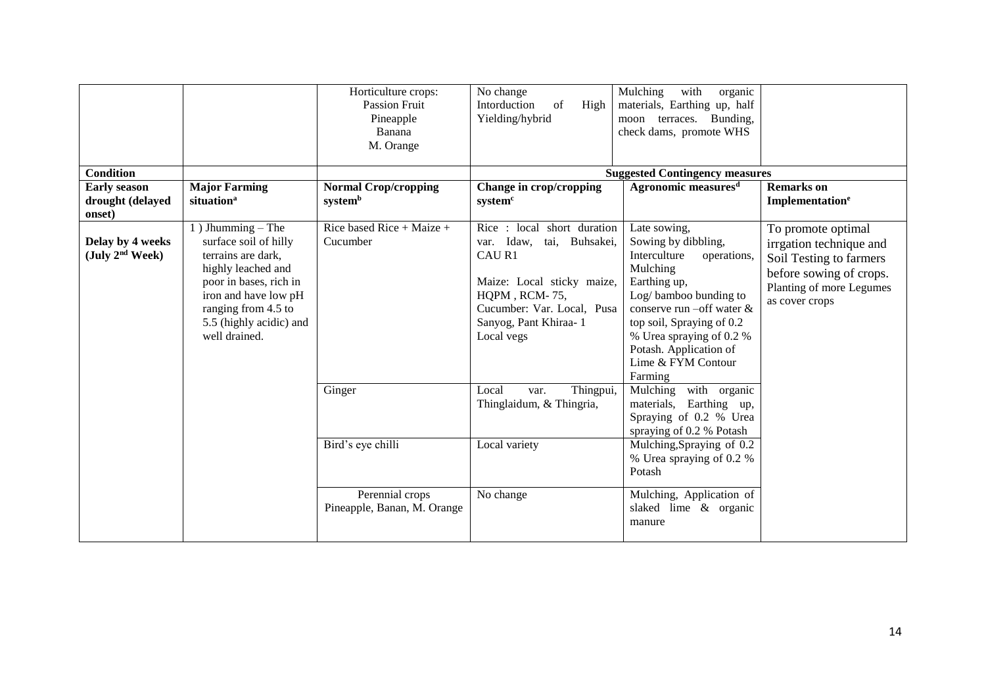| <b>Condition</b>                                                |                                                                                                                                                                                                               | Horticulture crops:<br><b>Passion Fruit</b><br>Pineapple<br>Banana<br>M. Orange | No change<br>Intorduction<br>High<br>of<br>Yielding/hybrid                                                                                                                            | Mulching<br>with<br>organic<br>materials, Earthing up, half<br>moon terraces. Bunding,<br>check dams, promote WHS<br><b>Suggested Contingency measures</b>                                                                                                                        |                                                                                                                                                   |
|-----------------------------------------------------------------|---------------------------------------------------------------------------------------------------------------------------------------------------------------------------------------------------------------|---------------------------------------------------------------------------------|---------------------------------------------------------------------------------------------------------------------------------------------------------------------------------------|-----------------------------------------------------------------------------------------------------------------------------------------------------------------------------------------------------------------------------------------------------------------------------------|---------------------------------------------------------------------------------------------------------------------------------------------------|
| <b>Early season</b>                                             | <b>Major Farming</b>                                                                                                                                                                                          | <b>Normal Crop/cropping</b>                                                     | Change in crop/cropping                                                                                                                                                               | Agronomic measures <sup>d</sup>                                                                                                                                                                                                                                                   | <b>Remarks</b> on                                                                                                                                 |
| drought (delayed                                                | situation <sup>a</sup>                                                                                                                                                                                        | systemb                                                                         | system <sup>c</sup>                                                                                                                                                                   |                                                                                                                                                                                                                                                                                   | Implementation <sup>e</sup>                                                                                                                       |
| onset)                                                          |                                                                                                                                                                                                               |                                                                                 |                                                                                                                                                                                       |                                                                                                                                                                                                                                                                                   |                                                                                                                                                   |
| Delay by 4 weeks<br>$(\text{July } 2^{\text{nd}} \text{ Week})$ | 1) Jhumming $-$ The<br>surface soil of hilly<br>terrains are dark.<br>highly leached and<br>poor in bases, rich in<br>iron and have low pH<br>ranging from 4.5 to<br>5.5 (highly acidic) and<br>well drained. | Rice based Rice + Maize +<br>Cucumber                                           | Rice: local short duration<br>var. Idaw, tai, Buhsakei,<br>CAU R1<br>Maize: Local sticky maize,<br>HQPM, RCM-75,<br>Cucumber: Var. Local, Pusa<br>Sanyog, Pant Khiraa-1<br>Local vegs | Late sowing,<br>Sowing by dibbling,<br>Interculture<br>operations,<br>Mulching<br>Earthing up,<br>Log/bamboo bunding to<br>conserve run $\text{-off}$ water &<br>top soil, Spraying of 0.2<br>% Urea spraying of 0.2 %<br>Potash. Application of<br>Lime & FYM Contour<br>Farming | To promote optimal<br>irrgation technique and<br>Soil Testing to farmers<br>before sowing of crops.<br>Planting of more Legumes<br>as cover crops |
|                                                                 |                                                                                                                                                                                                               | Ginger                                                                          | Local<br>Thingpui,<br>var.<br>Thinglaidum, & Thingria,                                                                                                                                | Mulching<br>with organic<br>materials,<br>Earthing up,<br>Spraying of 0.2 % Urea<br>spraying of 0.2 % Potash                                                                                                                                                                      |                                                                                                                                                   |
|                                                                 |                                                                                                                                                                                                               | Bird's eye chilli                                                               | Local variety                                                                                                                                                                         | Mulching, Spraying of 0.2<br>% Urea spraying of 0.2 %<br>Potash                                                                                                                                                                                                                   |                                                                                                                                                   |
|                                                                 |                                                                                                                                                                                                               | Perennial crops<br>Pineapple, Banan, M. Orange                                  | No change                                                                                                                                                                             | Mulching, Application of<br>slaked lime & organic<br>manure                                                                                                                                                                                                                       |                                                                                                                                                   |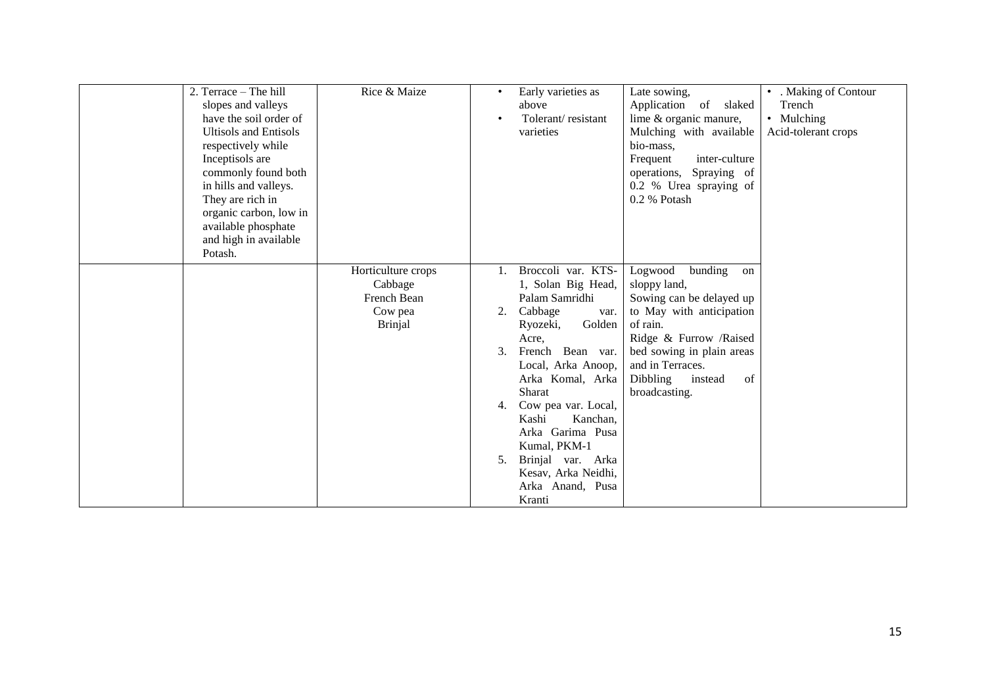| 2. Terrace – The hill<br>slopes and valleys<br>have the soil order of<br><b>Ultisols and Entisols</b><br>respectively while<br>Inceptisols are<br>commonly found both<br>in hills and valleys.<br>They are rich in<br>organic carbon, low in<br>available phosphate<br>and high in available<br>Potash. | Rice & Maize                                                              | $\bullet$            | Early varieties as<br>above<br>Tolerant/resistant<br>varieties                                                                                                                                                                                                                                                                                        | Late sowing,<br>Application of slaked<br>lime & organic manure,<br>Mulching with available<br>bio-mass,<br>inter-culture<br>Frequent<br>operations, Spraying of<br>0.2 % Urea spraying of<br>0.2 % Potash                             | • . Making of Contour<br>Trench<br>• Mulching<br>Acid-tolerant crops |
|---------------------------------------------------------------------------------------------------------------------------------------------------------------------------------------------------------------------------------------------------------------------------------------------------------|---------------------------------------------------------------------------|----------------------|-------------------------------------------------------------------------------------------------------------------------------------------------------------------------------------------------------------------------------------------------------------------------------------------------------------------------------------------------------|---------------------------------------------------------------------------------------------------------------------------------------------------------------------------------------------------------------------------------------|----------------------------------------------------------------------|
|                                                                                                                                                                                                                                                                                                         | Horticulture crops<br>Cabbage<br>French Bean<br>Cow pea<br><b>Brinjal</b> | 2.<br>3.<br>4.<br>5. | Broccoli var. KTS-<br>1, Solan Big Head,<br>Palam Samridhi<br>Cabbage<br>var.<br>Golden<br>Ryozeki,<br>Acre,<br>French Bean var.<br>Local, Arka Anoop,<br>Arka Komal, Arka<br><b>Sharat</b><br>Cow pea var. Local,<br>Kashi<br>Kanchan,<br>Arka Garima Pusa<br>Kumal, PKM-1<br>Brinjal var. Arka<br>Kesav, Arka Neidhi,<br>Arka Anand, Pusa<br>Kranti | bunding<br>Logwood<br>on<br>sloppy land,<br>Sowing can be delayed up<br>to May with anticipation<br>of rain.<br>Ridge & Furrow /Raised<br>bed sowing in plain areas<br>and in Terraces.<br>Dibbling<br>instead<br>of<br>broadcasting. |                                                                      |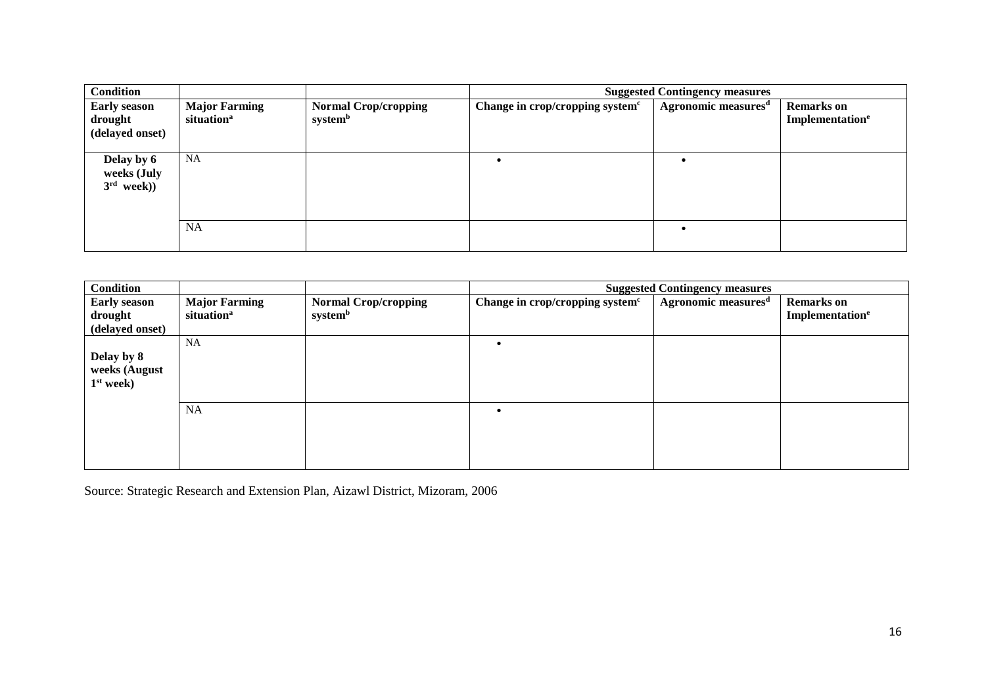| <b>Condition</b>                                  |                                                |                                        | <b>Suggested Contingency measures</b>       |                                 |                                                  |  |
|---------------------------------------------------|------------------------------------------------|----------------------------------------|---------------------------------------------|---------------------------------|--------------------------------------------------|--|
| <b>Early season</b><br>drought<br>(delayed onset) | <b>Major Farming</b><br>situation <sup>a</sup> | <b>Normal Crop/cropping</b><br>systemb | Change in crop/cropping system <sup>c</sup> | Agronomic measures <sup>d</sup> | <b>Remarks</b> on<br>Implementation <sup>e</sup> |  |
| Delay by 6<br>weeks (July<br>$3rd$ week))         | <b>NA</b>                                      |                                        |                                             |                                 |                                                  |  |
|                                                   | <b>NA</b>                                      |                                        |                                             |                                 |                                                  |  |

| <b>Condition</b>                                  |                                                |                                        | <b>Suggested Contingency measures</b>       |                                 |                                                  |  |
|---------------------------------------------------|------------------------------------------------|----------------------------------------|---------------------------------------------|---------------------------------|--------------------------------------------------|--|
| <b>Early season</b><br>drought<br>(delayed onset) | <b>Major Farming</b><br>situation <sup>a</sup> | <b>Normal Crop/cropping</b><br>systemb | Change in crop/cropping system <sup>c</sup> | Agronomic measures <sup>d</sup> | <b>Remarks</b> on<br>Implementation <sup>e</sup> |  |
| Delay by 8<br>weeks (August<br>$1st$ week)        | <b>NA</b>                                      |                                        |                                             |                                 |                                                  |  |
|                                                   | <b>NA</b>                                      |                                        |                                             |                                 |                                                  |  |

Source: Strategic Research and Extension Plan, Aizawl District, Mizoram, 2006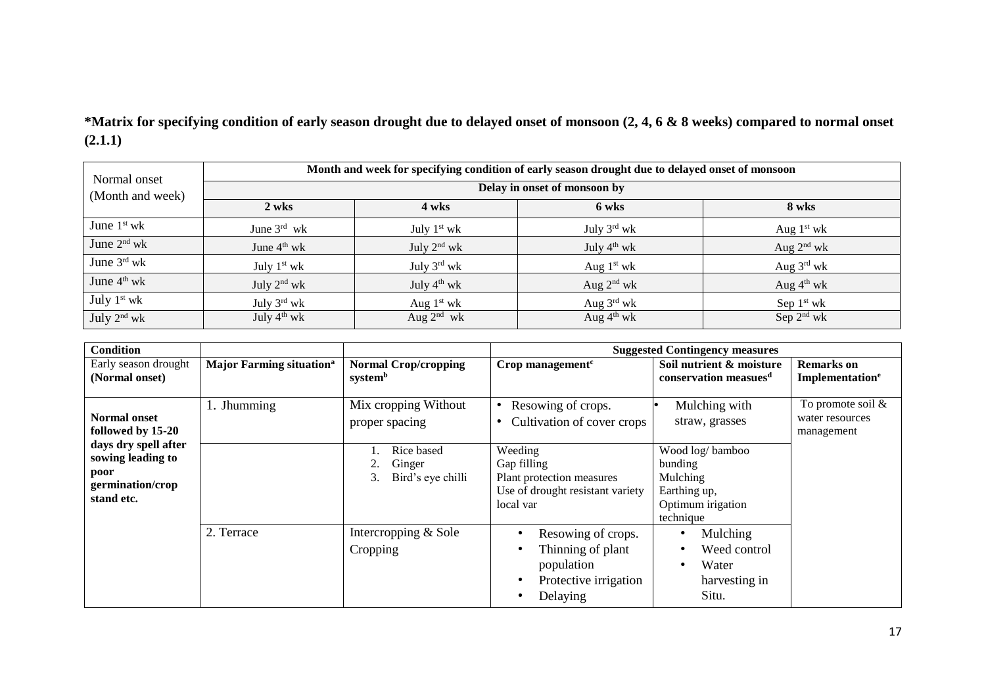**\*Matrix for specifying condition of early season drought due to delayed onset of monsoon (2, 4, 6 & 8 weeks) compared to normal onset (2.1.1)**

| Normal onset     | Month and week for specifying condition of early season drought due to delayed onset of monsoon |                              |                         |                        |  |  |  |  |
|------------------|-------------------------------------------------------------------------------------------------|------------------------------|-------------------------|------------------------|--|--|--|--|
| (Month and week) |                                                                                                 | Delay in onset of monsoon by |                         |                        |  |  |  |  |
|                  | 2 wks                                                                                           | 4 wks                        | 6 wks                   | 8 wks                  |  |  |  |  |
| June $1st$ wk    | June $3^{\text{rd}}$ wk                                                                         | July $1st$ wk                | July $3^{\text{rd}}$ wk | Aug $1st$ wk           |  |  |  |  |
| June $2nd$ wk    | June 4 <sup>th</sup> wk                                                                         | July $2nd$ wk                | July $4th$ wk           | Aug $2nd$ wk           |  |  |  |  |
| June 3rd wk      | July $1st$ wk                                                                                   | July 3rd wk                  | Aug $1st$ wk            | Aug $3^{\text{rd}}$ wk |  |  |  |  |
| June $4th$ wk    | July $2nd$ wk                                                                                   | July $4^{\text{th}}$ wk      | Aug $2nd$ wk            | Aug $4th$ wk           |  |  |  |  |
| July $1st$ wk    | July $3^{\text{rd}}$ wk                                                                         | Aug $1st$ wk                 | Aug $3^{\text{rd}}$ wk  | Sep $1st$ wk           |  |  |  |  |
| July $2nd$ wk    | July $4^{th}$ wk                                                                                | Aug $2^{nd}$ wk              | Aug $4^{\text{th}}$ wk  | Sep $2nd$ wk           |  |  |  |  |

| <b>Condition</b>                                                                    |                                             |                                                 |                                                                                                      | <b>Suggested Contingency measures</b>                                                    |                                                       |
|-------------------------------------------------------------------------------------|---------------------------------------------|-------------------------------------------------|------------------------------------------------------------------------------------------------------|------------------------------------------------------------------------------------------|-------------------------------------------------------|
| Early season drought<br>(Normal onset)                                              | <b>Major Farming situation</b> <sup>a</sup> | <b>Normal Crop/cropping</b><br>systemb          | Crop management $c$                                                                                  | Soil nutrient & moisture<br>conservation measues <sup>d</sup>                            | <b>Remarks</b> on<br>Implementation <sup>e</sup>      |
| <b>Normal onset</b><br>followed by 15-20                                            | 1. Jhumming                                 | Mix cropping Without<br>proper spacing          | Resowing of crops.<br>Cultivation of cover crops                                                     | Mulching with<br>straw, grasses                                                          | To promote soil $\&$<br>water resources<br>management |
| days dry spell after<br>sowing leading to<br>poor<br>germination/crop<br>stand etc. |                                             | Rice based<br>Ginger<br>Bird's eye chilli<br>3. | Weeding<br>Gap filling<br>Plant protection measures<br>Use of drought resistant variety<br>local var | Wood log/bamboo<br>bunding<br>Mulching<br>Earthing up,<br>Optimum irigation<br>technique |                                                       |
|                                                                                     | 2. Terrace                                  | Intercropping & Sole<br>Cropping                | Resowing of crops.<br>Thinning of plant<br>population<br>Protective irrigation<br>Delaying           | Mulching<br>Weed control<br>Water<br>harvesting in<br>Situ.                              |                                                       |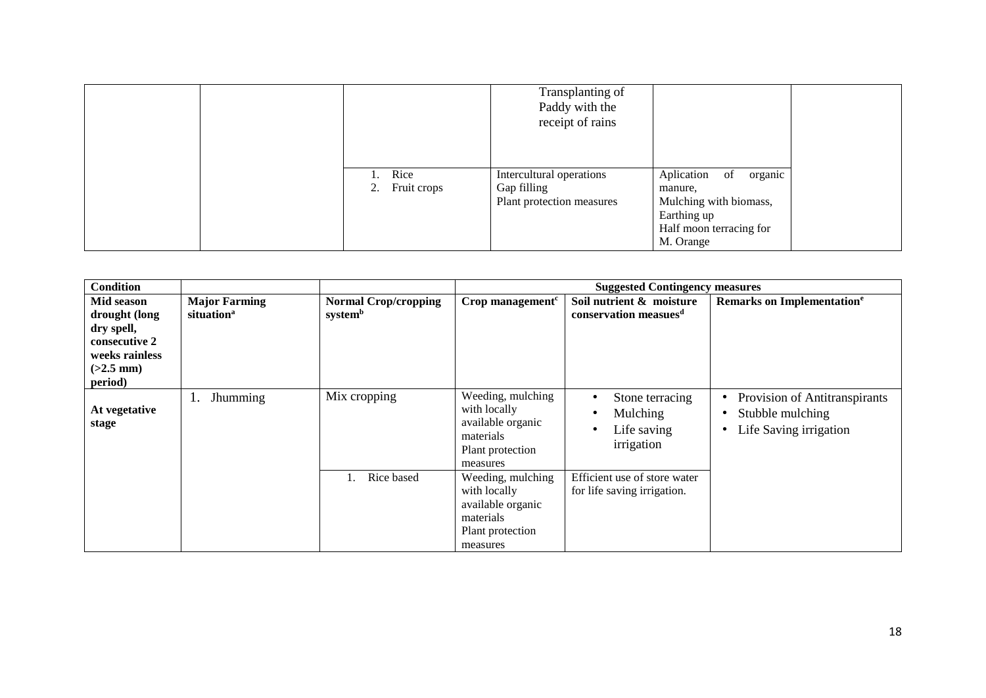|                           | Transplanting of<br>Paddy with the<br>receipt of rains               |                                                                                                                      |
|---------------------------|----------------------------------------------------------------------|----------------------------------------------------------------------------------------------------------------------|
| 1. Rice<br>2. Fruit crops | Intercultural operations<br>Gap filling<br>Plant protection measures | Aplication of<br>organic<br>manure,<br>Mulching with biomass,<br>Earthing up<br>Half moon terracing for<br>M. Orange |

| <b>Condition</b>                                                                                       |                                                |                                        |                                                                                                     | <b>Suggested Contingency measures</b>                         |                                                                             |
|--------------------------------------------------------------------------------------------------------|------------------------------------------------|----------------------------------------|-----------------------------------------------------------------------------------------------------|---------------------------------------------------------------|-----------------------------------------------------------------------------|
| Mid season<br>drought (long<br>dry spell,<br>consecutive 2<br>weeks rainless<br>$(>2.5$ mm)<br>period) | <b>Major Farming</b><br>situation <sup>a</sup> | <b>Normal Crop/cropping</b><br>systemb | Crop management $c$                                                                                 | Soil nutrient & moisture<br>conservation measues <sup>d</sup> | Remarks on Implementation <sup>e</sup>                                      |
| At vegetative<br>stage                                                                                 | Jhumming<br>1.                                 | Mix cropping                           | Weeding, mulching<br>with locally<br>available organic<br>materials<br>Plant protection<br>measures | Stone terracing<br>Mulching<br>Life saving<br>irrigation      | Provision of Antitranspirants<br>Stubble mulching<br>Life Saving irrigation |
|                                                                                                        |                                                | Rice based                             | Weeding, mulching<br>with locally<br>available organic<br>materials<br>Plant protection<br>measures | Efficient use of store water<br>for life saving irrigation.   |                                                                             |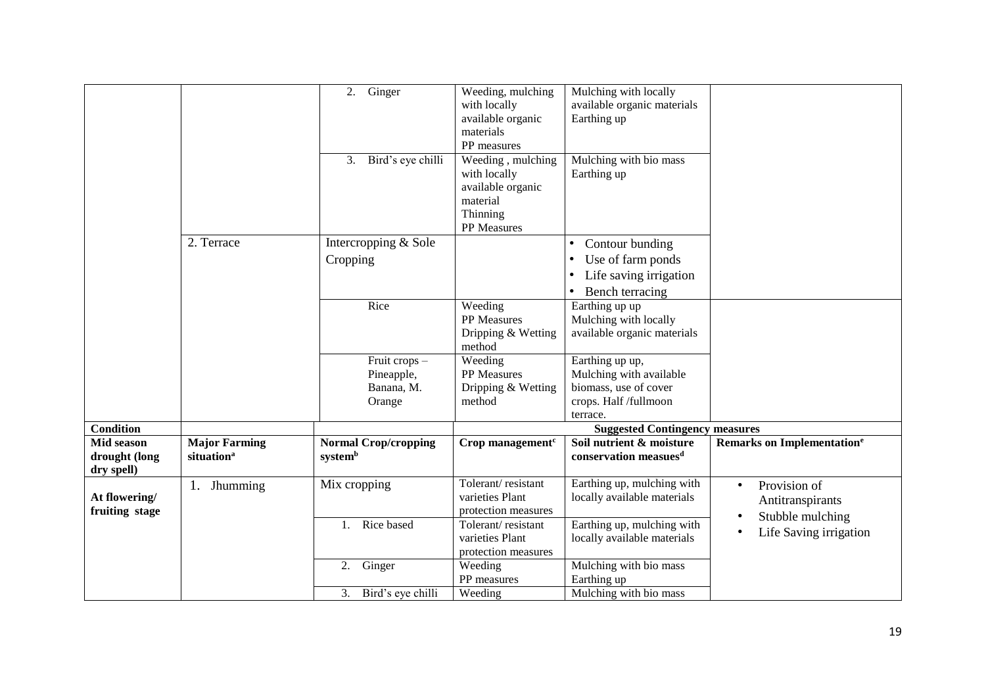|                                           |                                                | $2.$ Ginger<br>Bird's eye chilli<br>3.              | Weeding, mulching<br>with locally<br>available organic<br>materials<br>PP measures<br>Weeding, mulching | Mulching with locally<br>available organic materials<br>Earthing up<br>Mulching with bio mass                                         |                                                                   |
|-------------------------------------------|------------------------------------------------|-----------------------------------------------------|---------------------------------------------------------------------------------------------------------|---------------------------------------------------------------------------------------------------------------------------------------|-------------------------------------------------------------------|
|                                           |                                                |                                                     | with locally<br>available organic<br>material<br>Thinning<br>PP Measures                                | Earthing up                                                                                                                           |                                                                   |
|                                           | 2. Terrace                                     | Intercropping & Sole<br>Cropping                    |                                                                                                         | Contour bunding<br>$\bullet$<br>Use of farm ponds<br>$\bullet$<br>Life saving irrigation<br>$\bullet$<br>Bench terracing<br>$\bullet$ |                                                                   |
|                                           |                                                | Rice                                                | Weeding<br>PP Measures<br>Dripping & Wetting<br>method                                                  | Earthing up up<br>Mulching with locally<br>available organic materials                                                                |                                                                   |
|                                           |                                                | Fruit crops -<br>Pineapple,<br>Banana, M.<br>Orange | Weeding<br>PP Measures<br>Dripping & Wetting<br>method                                                  | Earthing up up,<br>Mulching with available<br>biomass, use of cover<br>crops. Half /fullmoon<br>terrace.                              |                                                                   |
| <b>Condition</b>                          |                                                |                                                     |                                                                                                         | <b>Suggested Contingency measures</b>                                                                                                 |                                                                   |
| Mid season<br>drought (long<br>dry spell) | <b>Major Farming</b><br>situation <sup>a</sup> | <b>Normal Crop/cropping</b><br>systemb              | Crop management $c$                                                                                     | Soil nutrient & moisture<br>conservation measues <sup>d</sup>                                                                         | Remarks on Implementation <sup>e</sup>                            |
| At flowering/<br>fruiting stage           | 1.<br><b>Jhumming</b>                          | Mix cropping                                        | Tolerant/resistant<br>varieties Plant<br>protection measures                                            | Earthing up, mulching with<br>locally available materials                                                                             | Provision of<br>$\bullet$<br>Antitranspirants<br>Stubble mulching |
|                                           |                                                | Rice based<br>1.                                    | Tolerant/resistant<br>varieties Plant<br>protection measures                                            | Earthing up, mulching with<br>locally available materials                                                                             | Life Saving irrigation                                            |
|                                           |                                                | Ginger<br>2.                                        | Weeding<br>PP measures                                                                                  | Mulching with bio mass<br>Earthing up                                                                                                 |                                                                   |
|                                           |                                                | 3. Bird's eye chilli                                | Weeding                                                                                                 | Mulching with bio mass                                                                                                                |                                                                   |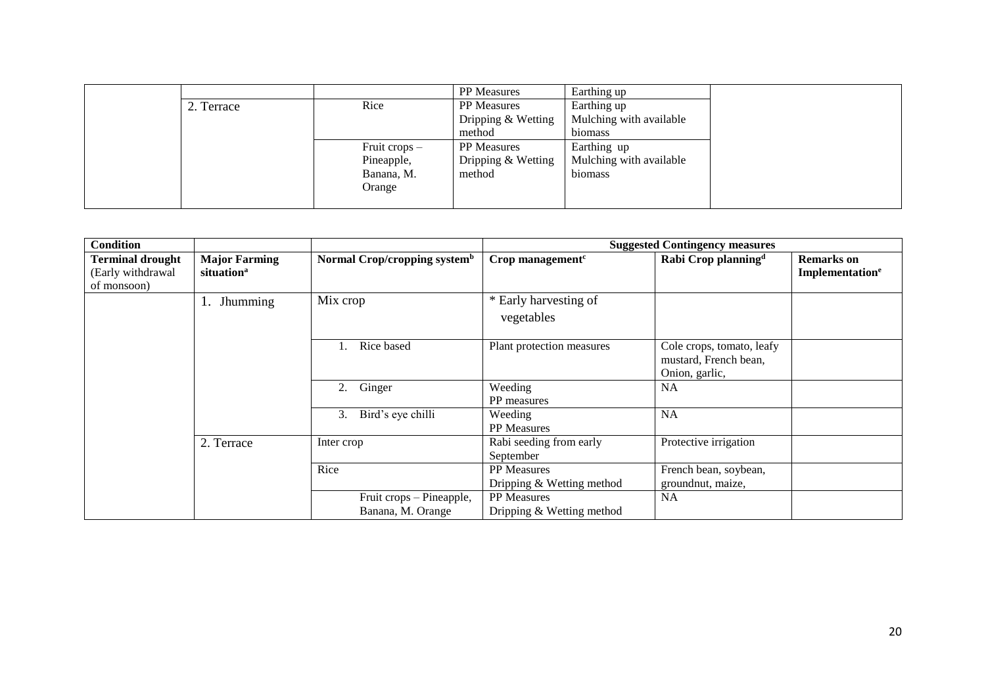|            |               | <b>PP</b> Measures | Earthing up             |
|------------|---------------|--------------------|-------------------------|
| 2. Terrace | Rice          | <b>PP</b> Measures | Earthing up             |
|            |               | Dripping & Wetting | Mulching with available |
|            |               | method             | biomass                 |
|            | Fruit crops - | <b>PP</b> Measures | Earthing up             |
|            | Pineapple,    | Dripping & Wetting | Mulching with available |
|            | Banana, M.    | method             | biomass                 |
|            | Orange        |                    |                         |
|            |               |                    |                         |

| <b>Condition</b>                                            |                                                |                                               |                                                 | <b>Suggested Contingency measures</b>                                |                                                  |
|-------------------------------------------------------------|------------------------------------------------|-----------------------------------------------|-------------------------------------------------|----------------------------------------------------------------------|--------------------------------------------------|
| <b>Terminal drought</b><br>(Early withdrawal<br>of monsoon) | <b>Major Farming</b><br>situation <sup>a</sup> | Normal Crop/cropping system <sup>b</sup>      | Crop management $c$                             | Rabi Crop planning <sup>d</sup>                                      | <b>Remarks</b> on<br>Implementation <sup>e</sup> |
|                                                             | Jhumming<br>-1.                                | Mix crop                                      | * Early harvesting of<br>vegetables             |                                                                      |                                                  |
|                                                             |                                                | Rice based                                    | Plant protection measures                       | Cole crops, tomato, leafy<br>mustard, French bean,<br>Onion, garlic, |                                                  |
|                                                             |                                                | 2.<br>Ginger                                  | Weeding<br>PP measures                          | <b>NA</b>                                                            |                                                  |
|                                                             |                                                | Bird's eye chilli<br>3.                       | Weeding<br>PP Measures                          | NA                                                                   |                                                  |
|                                                             | 2. Terrace                                     | Inter crop                                    | Rabi seeding from early<br>September            | Protective irrigation                                                |                                                  |
|                                                             |                                                | Rice                                          | <b>PP</b> Measures<br>Dripping & Wetting method | French bean, soybean,<br>groundnut, maize,                           |                                                  |
|                                                             |                                                | Fruit crops - Pineapple,<br>Banana, M. Orange | <b>PP</b> Measures<br>Dripping & Wetting method | NA                                                                   |                                                  |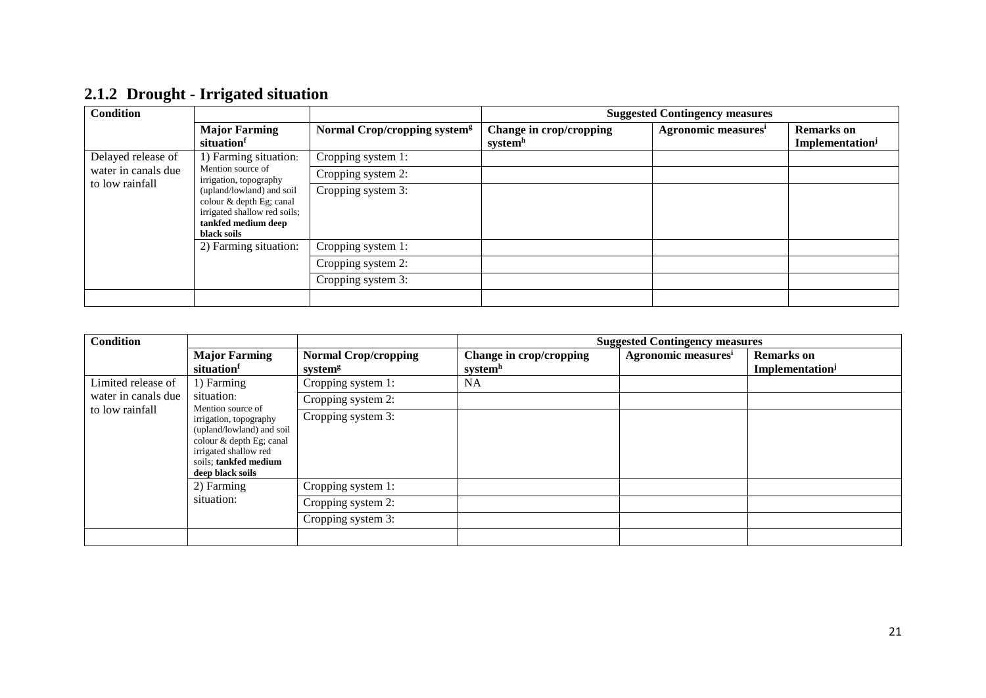| <b>Condition</b>    |                                                                                                                             |                                          |                                                | <b>Suggested Contingency measures</b> |                                                  |
|---------------------|-----------------------------------------------------------------------------------------------------------------------------|------------------------------------------|------------------------------------------------|---------------------------------------|--------------------------------------------------|
|                     | <b>Major Farming</b><br>situationf                                                                                          | Normal Crop/cropping system <sup>g</sup> | Change in crop/cropping<br>system <sup>h</sup> | Agronomic measures <sup>i</sup>       | <b>Remarks</b> on<br>Implementation <sup>j</sup> |
| Delayed release of  | 1) Farming situation:                                                                                                       | Cropping system 1:                       |                                                |                                       |                                                  |
| water in canals due | Mention source of<br>irrigation, topography                                                                                 | Cropping system 2:                       |                                                |                                       |                                                  |
| to low rainfall     | (upland/lowland) and soil<br>colour & depth Eg; canal<br>irrigated shallow red soils;<br>tankfed medium deep<br>black soils | Cropping system 3:                       |                                                |                                       |                                                  |
|                     | 2) Farming situation:                                                                                                       | Cropping system 1:                       |                                                |                                       |                                                  |
|                     |                                                                                                                             | Cropping system 2:                       |                                                |                                       |                                                  |
|                     |                                                                                                                             | Cropping system 3:                       |                                                |                                       |                                                  |
|                     |                                                                                                                             |                                          |                                                |                                       |                                                  |

## **2.1.2 Drought - Irrigated situation**

| <b>Condition</b>    |                                                                                                                                                                            |                                                    |                                    | <b>Suggested Contingency measures</b> |                                                  |
|---------------------|----------------------------------------------------------------------------------------------------------------------------------------------------------------------------|----------------------------------------------------|------------------------------------|---------------------------------------|--------------------------------------------------|
|                     | <b>Major Farming</b><br>situation                                                                                                                                          | <b>Normal Crop/cropping</b><br>system <sup>g</sup> | Change in crop/cropping<br>systemh | Agronomic measures <sup>i</sup>       | <b>Remarks</b> on<br>Implementation <sup>j</sup> |
| Limited release of  | 1) Farming                                                                                                                                                                 | Cropping system 1:                                 | <b>NA</b>                          |                                       |                                                  |
| water in canals due | situation:                                                                                                                                                                 | Cropping system 2:                                 |                                    |                                       |                                                  |
| to low rainfall     | Mention source of<br>irrigation, topography<br>(upland/lowland) and soil<br>colour & depth Eg; canal<br>irrigated shallow red<br>soils; tankfed medium<br>deep black soils | Cropping system 3:                                 |                                    |                                       |                                                  |
|                     | 2) Farming<br>situation:                                                                                                                                                   | Cropping system 1:                                 |                                    |                                       |                                                  |
|                     |                                                                                                                                                                            | Cropping system 2:                                 |                                    |                                       |                                                  |
|                     |                                                                                                                                                                            | Cropping system 3:                                 |                                    |                                       |                                                  |
|                     |                                                                                                                                                                            |                                                    |                                    |                                       |                                                  |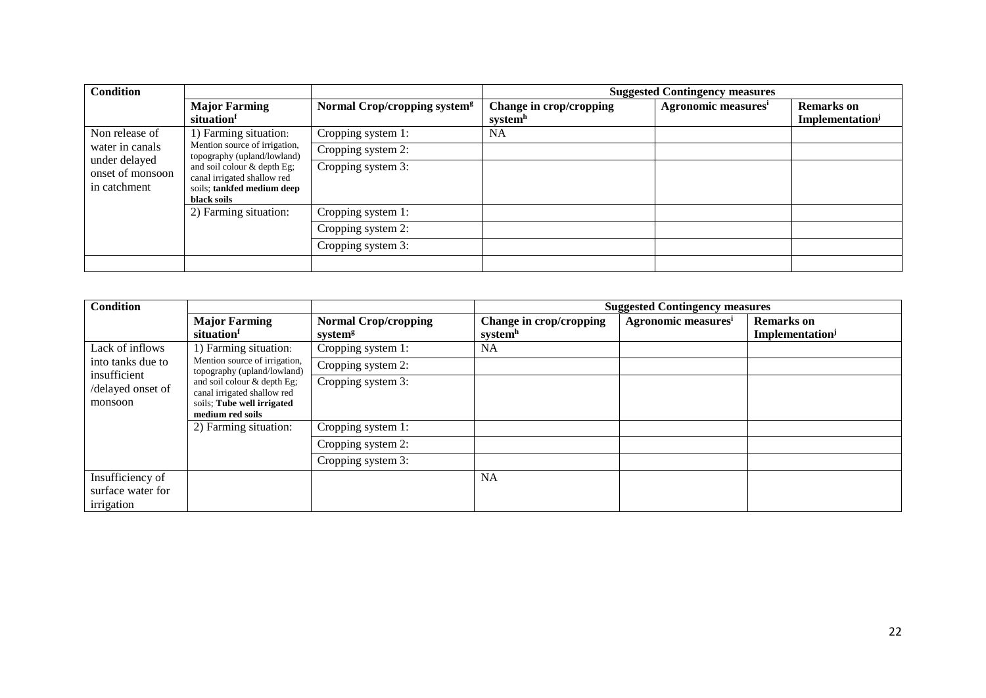| <b>Condition</b>                                  |                                                                                                         |                                          |                         | <b>Suggested Contingency measures</b> |                                    |
|---------------------------------------------------|---------------------------------------------------------------------------------------------------------|------------------------------------------|-------------------------|---------------------------------------|------------------------------------|
|                                                   | <b>Major Farming</b><br>situation                                                                       | Normal Crop/cropping system <sup>g</sup> | Change in crop/cropping | Agronomic measures <sup>i</sup>       | <b>Remarks</b> on                  |
|                                                   |                                                                                                         |                                          | system <sup>n</sup>     |                                       | <b>Implementation</b> <sup>j</sup> |
| Non release of                                    | 1) Farming situation:                                                                                   | Cropping system 1:                       | <b>NA</b>               |                                       |                                    |
| water in canals                                   | Mention source of irrigation,<br>topography (upland/lowland)                                            | Cropping system 2:                       |                         |                                       |                                    |
| under delayed<br>onset of monsoon<br>in catchment | and soil colour & depth Eg;<br>canal irrigated shallow red<br>soils; tankfed medium deep<br>black soils | Cropping system 3:                       |                         |                                       |                                    |
|                                                   | 2) Farming situation:                                                                                   | Cropping system 1:                       |                         |                                       |                                    |
|                                                   |                                                                                                         | Cropping system 2:                       |                         |                                       |                                    |
|                                                   |                                                                                                         | Cropping system 3:                       |                         |                                       |                                    |
|                                                   |                                                                                                         |                                          |                         |                                       |                                    |

| <b>Condition</b>                                                                                                                                             |                                                              |                                                    |                                    | <b>Suggested Contingency measures</b> |                                     |
|--------------------------------------------------------------------------------------------------------------------------------------------------------------|--------------------------------------------------------------|----------------------------------------------------|------------------------------------|---------------------------------------|-------------------------------------|
|                                                                                                                                                              | <b>Major Farming</b><br>situation                            | <b>Normal Crop/cropping</b><br>system <sup>g</sup> | Change in crop/cropping<br>systemh | Agronomic measures <sup>i</sup>       | <b>Remarks</b> on<br>Implementation |
| Lack of inflows                                                                                                                                              | 1) Farming situation:                                        | Cropping system 1:                                 | <b>NA</b>                          |                                       |                                     |
| into tanks due to                                                                                                                                            | Mention source of irrigation,<br>topography (upland/lowland) | Cropping system 2:                                 |                                    |                                       |                                     |
| insufficient<br>and soil colour & depth Eg;<br>/delayed onset of<br>canal irrigated shallow red<br>soils; Tube well irrigated<br>monsoon<br>medium red soils | Cropping system 3:                                           |                                                    |                                    |                                       |                                     |
|                                                                                                                                                              | 2) Farming situation:                                        | Cropping system 1:                                 |                                    |                                       |                                     |
|                                                                                                                                                              |                                                              | Cropping system 2:                                 |                                    |                                       |                                     |
|                                                                                                                                                              |                                                              | Cropping system 3:                                 |                                    |                                       |                                     |
| Insufficiency of<br>surface water for<br>irrigation                                                                                                          |                                                              |                                                    | <b>NA</b>                          |                                       |                                     |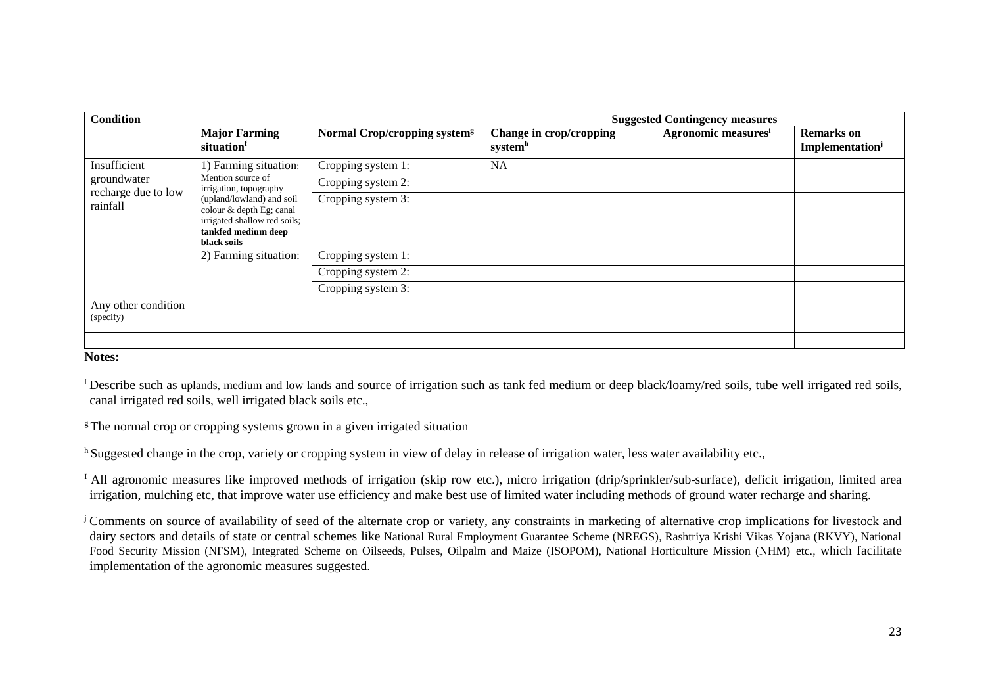| Condition                       |                                                                                                                             |                                          |                                    | <b>Suggested Contingency measures</b> |                                     |
|---------------------------------|-----------------------------------------------------------------------------------------------------------------------------|------------------------------------------|------------------------------------|---------------------------------------|-------------------------------------|
|                                 | <b>Major Farming</b><br>situationf                                                                                          | Normal Crop/cropping system <sup>g</sup> | Change in crop/cropping<br>systemh | Agronomic measures <sup>i</sup>       | <b>Remarks</b> on<br>Implementation |
| Insufficient                    | 1) Farming situation:                                                                                                       | Cropping system 1:                       | NA                                 |                                       |                                     |
| groundwater                     | Mention source of<br>irrigation, topography                                                                                 | Cropping system 2:                       |                                    |                                       |                                     |
| recharge due to low<br>rainfall | (upland/lowland) and soil<br>colour & depth Eg; canal<br>irrigated shallow red soils;<br>tankfed medium deep<br>black soils | Cropping system 3:                       |                                    |                                       |                                     |
|                                 | 2) Farming situation:                                                                                                       | Cropping system 1:                       |                                    |                                       |                                     |
|                                 |                                                                                                                             | Cropping system 2:                       |                                    |                                       |                                     |
|                                 |                                                                                                                             | Cropping system 3:                       |                                    |                                       |                                     |
| Any other condition             |                                                                                                                             |                                          |                                    |                                       |                                     |
| (specify)                       |                                                                                                                             |                                          |                                    |                                       |                                     |
|                                 |                                                                                                                             |                                          |                                    |                                       |                                     |

### **Notes:**

<sup>f</sup>Describe such as uplands, medium and low lands and source of irrigation such as tank fed medium or deep black/loamy/red soils, tube well irrigated red soils, canal irrigated red soils, well irrigated black soils etc.,

 $\epsilon$ The normal crop or cropping systems grown in a given irrigated situation

<sup>h</sup> Suggested change in the crop, variety or cropping system in view of delay in release of irrigation water, less water availability etc.,

<sup>I</sup> All agronomic measures like improved methods of irrigation (skip row etc.), micro irrigation (drip/sprinkler/sub-surface), deficit irrigation, limited area irrigation, mulching etc, that improve water use efficiency and make best use of limited water including methods of ground water recharge and sharing.

<sup>j</sup> Comments on source of availability of seed of the alternate crop or variety, any constraints in marketing of alternative crop implications for livestock and dairy sectors and details of state or central schemes like National Rural Employment Guarantee Scheme (NREGS), Rashtriya Krishi Vikas Yojana (RKVY), National Food Security Mission (NFSM), Integrated Scheme on Oilseeds, Pulses, Oilpalm and Maize (ISOPOM), National Horticulture Mission (NHM) etc., which facilitate implementation of the agronomic measures suggested.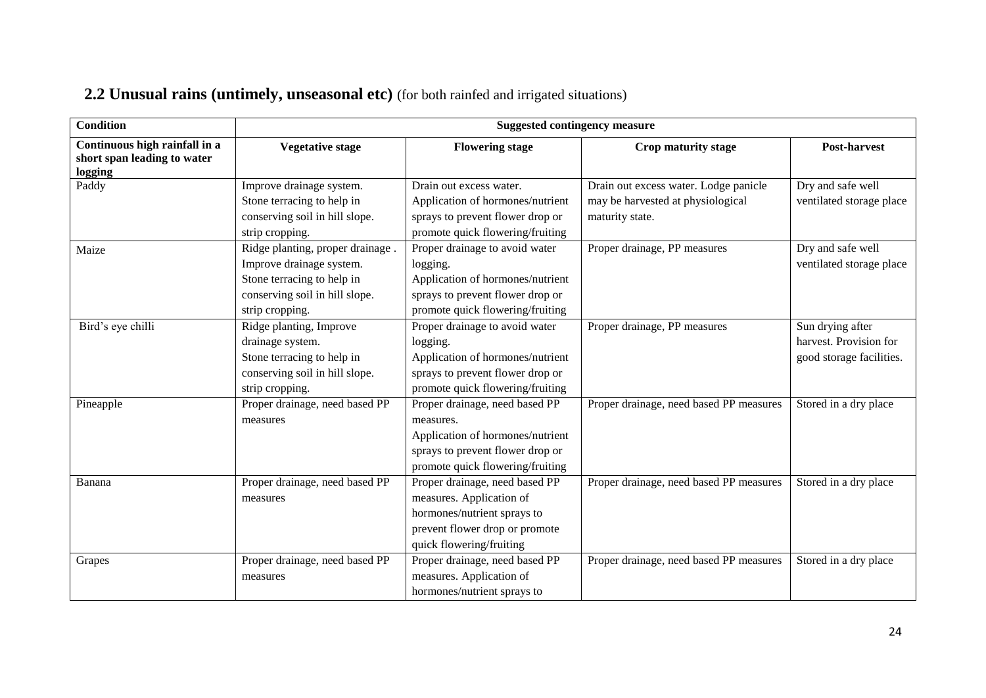## **2.2 Unusual rains (untimely, unseasonal etc)** (for both rainfed and irrigated situations)

| <b>Condition</b>                                                        | <b>Suggested contingency measure</b>                                                                                                            |                                                                                                                                                         |                                                                                               |                                                                        |  |
|-------------------------------------------------------------------------|-------------------------------------------------------------------------------------------------------------------------------------------------|---------------------------------------------------------------------------------------------------------------------------------------------------------|-----------------------------------------------------------------------------------------------|------------------------------------------------------------------------|--|
| Continuous high rainfall in a<br>short span leading to water<br>logging | <b>Vegetative stage</b>                                                                                                                         | <b>Flowering stage</b>                                                                                                                                  | Crop maturity stage                                                                           | <b>Post-harvest</b>                                                    |  |
| Paddy                                                                   | Improve drainage system.<br>Stone terracing to help in<br>conserving soil in hill slope.<br>strip cropping.                                     | Drain out excess water.<br>Application of hormones/nutrient<br>sprays to prevent flower drop or<br>promote quick flowering/fruiting                     | Drain out excess water. Lodge panicle<br>may be harvested at physiological<br>maturity state. | Dry and safe well<br>ventilated storage place                          |  |
| Maize                                                                   | Ridge planting, proper drainage.<br>Improve drainage system.<br>Stone terracing to help in<br>conserving soil in hill slope.<br>strip cropping. | Proper drainage to avoid water<br>logging.<br>Application of hormones/nutrient<br>sprays to prevent flower drop or<br>promote quick flowering/fruiting  | Proper drainage, PP measures                                                                  | Dry and safe well<br>ventilated storage place                          |  |
| Bird's eye chilli                                                       | Ridge planting, Improve<br>drainage system.<br>Stone terracing to help in<br>conserving soil in hill slope.<br>strip cropping.                  | Proper drainage to avoid water<br>logging.<br>Application of hormones/nutrient<br>sprays to prevent flower drop or<br>promote quick flowering/fruiting  | Proper drainage, PP measures                                                                  | Sun drying after<br>harvest. Provision for<br>good storage facilities. |  |
| Pineapple                                                               | Proper drainage, need based PP<br>measures                                                                                                      | Proper drainage, need based PP<br>measures.<br>Application of hormones/nutrient<br>sprays to prevent flower drop or<br>promote quick flowering/fruiting | Proper drainage, need based PP measures                                                       | Stored in a dry place                                                  |  |
| Banana                                                                  | Proper drainage, need based PP<br>measures                                                                                                      | Proper drainage, need based PP<br>measures. Application of<br>hormones/nutrient sprays to<br>prevent flower drop or promote<br>quick flowering/fruiting | Proper drainage, need based PP measures                                                       | Stored in a dry place                                                  |  |
| Grapes                                                                  | Proper drainage, need based PP<br>measures                                                                                                      | Proper drainage, need based PP<br>measures. Application of<br>hormones/nutrient sprays to                                                               | Proper drainage, need based PP measures                                                       | Stored in a dry place                                                  |  |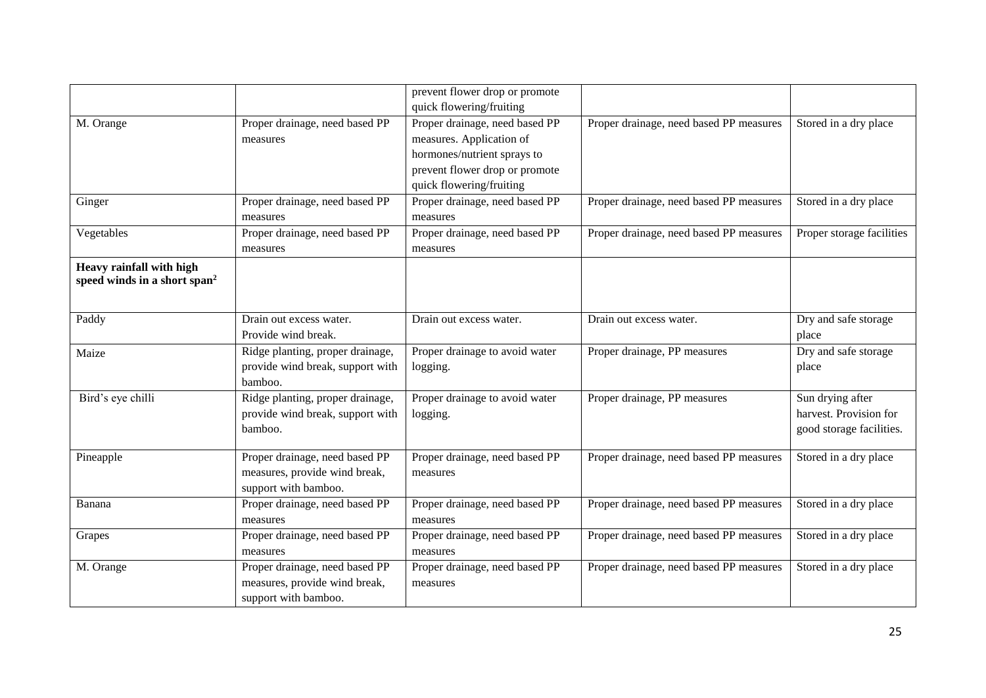|                                          |                                  | prevent flower drop or promote |                                         |                           |
|------------------------------------------|----------------------------------|--------------------------------|-----------------------------------------|---------------------------|
|                                          |                                  | quick flowering/fruiting       |                                         |                           |
| M. Orange                                | Proper drainage, need based PP   | Proper drainage, need based PP | Proper drainage, need based PP measures | Stored in a dry place     |
|                                          | measures                         | measures. Application of       |                                         |                           |
|                                          |                                  | hormones/nutrient sprays to    |                                         |                           |
|                                          |                                  | prevent flower drop or promote |                                         |                           |
|                                          |                                  | quick flowering/fruiting       |                                         |                           |
| Ginger                                   | Proper drainage, need based PP   | Proper drainage, need based PP | Proper drainage, need based PP measures | Stored in a dry place     |
|                                          | measures                         | measures                       |                                         |                           |
| Vegetables                               | Proper drainage, need based PP   | Proper drainage, need based PP | Proper drainage, need based PP measures | Proper storage facilities |
|                                          | measures                         | measures                       |                                         |                           |
| Heavy rainfall with high                 |                                  |                                |                                         |                           |
| speed winds in a short span <sup>2</sup> |                                  |                                |                                         |                           |
|                                          |                                  |                                |                                         |                           |
| Paddy                                    | Drain out excess water.          | Drain out excess water.        | Drain out excess water.                 | Dry and safe storage      |
|                                          | Provide wind break.              |                                |                                         | place                     |
| Maize                                    | Ridge planting, proper drainage, | Proper drainage to avoid water | Proper drainage, PP measures            | Dry and safe storage      |
|                                          | provide wind break, support with | logging.                       |                                         | place                     |
|                                          | bamboo.                          |                                |                                         |                           |
| Bird's eye chilli                        | Ridge planting, proper drainage, | Proper drainage to avoid water | Proper drainage, PP measures            | Sun drying after          |
|                                          | provide wind break, support with | logging.                       |                                         | harvest. Provision for    |
|                                          | bamboo.                          |                                |                                         | good storage facilities.  |
|                                          |                                  |                                |                                         |                           |
| Pineapple                                | Proper drainage, need based PP   | Proper drainage, need based PP | Proper drainage, need based PP measures | Stored in a dry place     |
|                                          | measures, provide wind break,    | measures                       |                                         |                           |
|                                          | support with bamboo.             |                                |                                         |                           |
| Banana                                   | Proper drainage, need based PP   | Proper drainage, need based PP | Proper drainage, need based PP measures | Stored in a dry place     |
|                                          | measures                         | measures                       |                                         |                           |
| Grapes                                   | Proper drainage, need based PP   | Proper drainage, need based PP | Proper drainage, need based PP measures | Stored in a dry place     |
|                                          | measures                         | measures                       |                                         |                           |
| M. Orange                                | Proper drainage, need based PP   | Proper drainage, need based PP | Proper drainage, need based PP measures | Stored in a dry place     |
|                                          | measures, provide wind break,    | measures                       |                                         |                           |
|                                          | support with bamboo.             |                                |                                         |                           |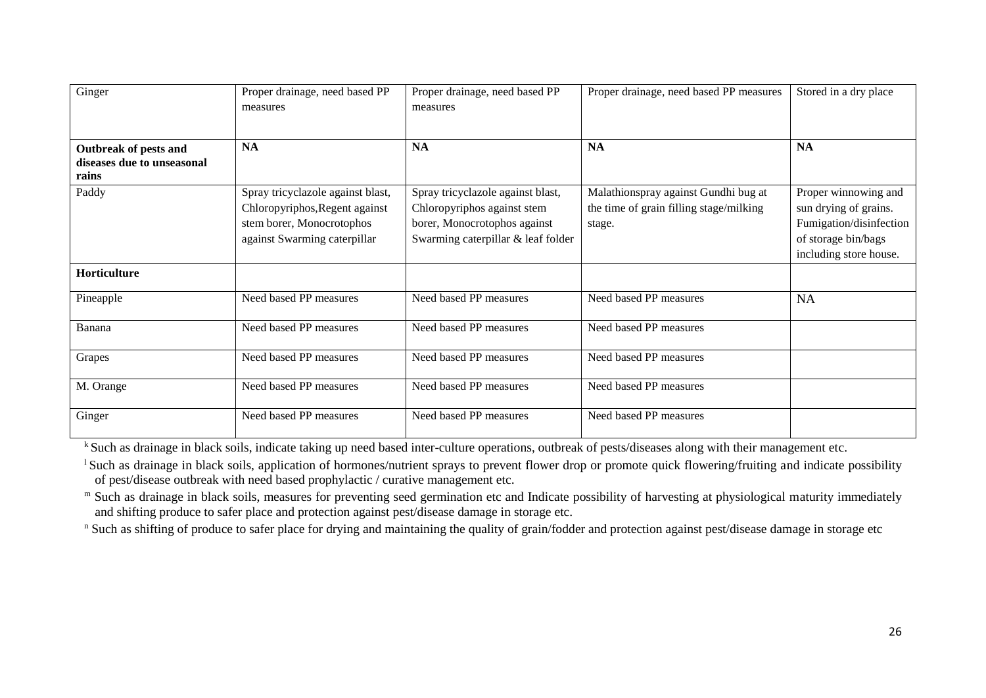| Ginger                                                       | Proper drainage, need based PP    | Proper drainage, need based PP     | Proper drainage, need based PP measures | Stored in a dry place   |
|--------------------------------------------------------------|-----------------------------------|------------------------------------|-----------------------------------------|-------------------------|
|                                                              | measures                          | measures                           |                                         |                         |
|                                                              |                                   |                                    |                                         |                         |
| Outbreak of pests and<br>diseases due to unseasonal<br>rains | <b>NA</b>                         | <b>NA</b>                          | <b>NA</b>                               | <b>NA</b>               |
| Paddy                                                        | Spray tricyclazole against blast, | Spray tricyclazole against blast,  | Malathionspray against Gundhi bug at    | Proper winnowing and    |
|                                                              | Chloropyriphos, Regent against    | Chloropyriphos against stem        | the time of grain filling stage/milking | sun drying of grains.   |
|                                                              | stem borer, Monocrotophos         | borer, Monocrotophos against       | stage.                                  | Fumigation/disinfection |
|                                                              | against Swarming caterpillar      | Swarming caterpillar & leaf folder |                                         | of storage bin/bags     |
|                                                              |                                   |                                    |                                         | including store house.  |
| <b>Horticulture</b>                                          |                                   |                                    |                                         |                         |
| Pineapple                                                    | Need based PP measures            | Need based PP measures             | Need based PP measures                  | <b>NA</b>               |
| Banana                                                       | Need based PP measures            | Need based PP measures             | Need based PP measures                  |                         |
| Grapes                                                       | Need based PP measures            | Need based PP measures             | Need based PP measures                  |                         |
| M. Orange                                                    | Need based PP measures            | Need based PP measures             | Need based PP measures                  |                         |
| Ginger                                                       | Need based PP measures            | Need based PP measures             | Need based PP measures                  |                         |

k Such as drainage in black soils, indicate taking up need based inter-culture operations, outbreak of pests/diseases along with their management etc.

<sup>1</sup> Such as drainage in black soils, application of hormones/nutrient sprays to prevent flower drop or promote quick flowering/fruiting and indicate possibility of pest/disease outbreak with need based prophylactic / curative management etc.

m Such as drainage in black soils, measures for preventing seed germination etc and Indicate possibility of harvesting at physiological maturity immediately and shifting produce to safer place and protection against pest/disease damage in storage etc.

<sup>n</sup> Such as shifting of produce to safer place for drying and maintaining the quality of grain/fodder and protection against pest/disease damage in storage etc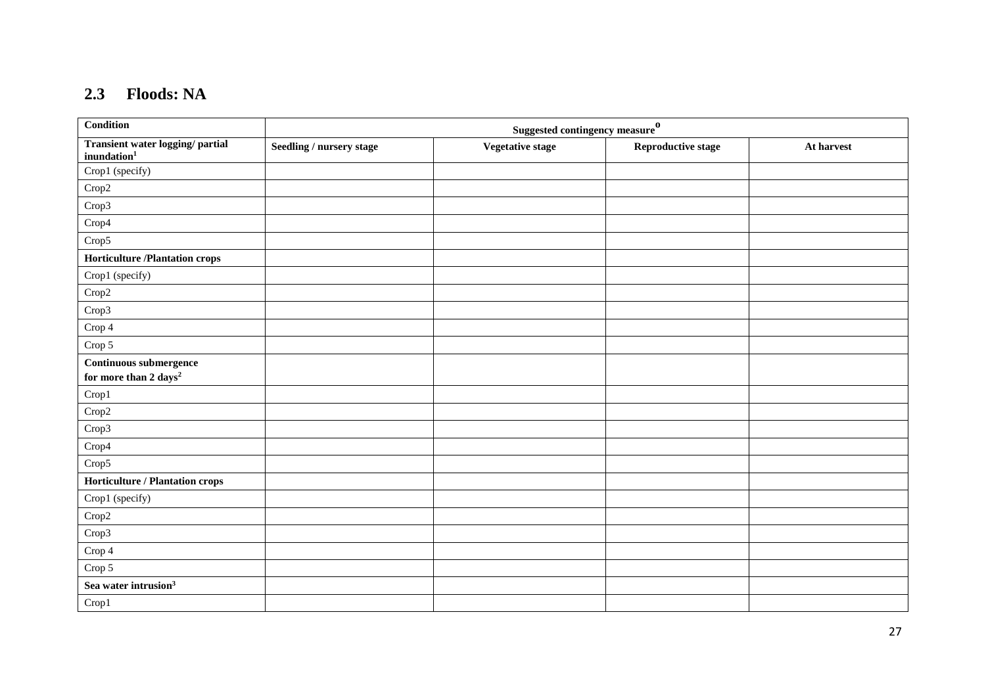## **2.3 Floods: NA**

| <b>Condition</b>                                                         | Suggested contingency measure $^0$ |                  |                           |            |  |
|--------------------------------------------------------------------------|------------------------------------|------------------|---------------------------|------------|--|
| Transient water logging/ partial<br>inundation <sup>1</sup>              | Seedling / nursery stage           | Vegetative stage | <b>Reproductive stage</b> | At harvest |  |
| Crop1 (specify)                                                          |                                    |                  |                           |            |  |
| $\mbox{Crop2}$                                                           |                                    |                  |                           |            |  |
| Crop3                                                                    |                                    |                  |                           |            |  |
| $\mathrm{Crop}4$                                                         |                                    |                  |                           |            |  |
| Crop5                                                                    |                                    |                  |                           |            |  |
| <b>Horticulture /Plantation crops</b>                                    |                                    |                  |                           |            |  |
| Crop1 (specify)                                                          |                                    |                  |                           |            |  |
| $\mbox{Crop2}$                                                           |                                    |                  |                           |            |  |
| Crop3                                                                    |                                    |                  |                           |            |  |
| $\operatorname{Crop} 4$                                                  |                                    |                  |                           |            |  |
| Crop $5\,$                                                               |                                    |                  |                           |            |  |
| $\begin{array}{ll} \textbf{Continuous }\textbf{submergence} \end{array}$ |                                    |                  |                           |            |  |
| for more than $2 \;{\rm days^2}$                                         |                                    |                  |                           |            |  |
| Crop1                                                                    |                                    |                  |                           |            |  |
| $\mbox{Crop2}$                                                           |                                    |                  |                           |            |  |
| Crop3                                                                    |                                    |                  |                           |            |  |
| $\mathrm{Crop}4$                                                         |                                    |                  |                           |            |  |
| Crop5                                                                    |                                    |                  |                           |            |  |
| Horticulture / Plantation crops                                          |                                    |                  |                           |            |  |
| Crop1 (specify)                                                          |                                    |                  |                           |            |  |
| Crop2                                                                    |                                    |                  |                           |            |  |
| Crop3                                                                    |                                    |                  |                           |            |  |
| $\operatorname{Crop} 4$                                                  |                                    |                  |                           |            |  |
| $\operatorname{Crop} 5$                                                  |                                    |                  |                           |            |  |
| Sea water intrusion <sup>3</sup>                                         |                                    |                  |                           |            |  |
| Crop1                                                                    |                                    |                  |                           |            |  |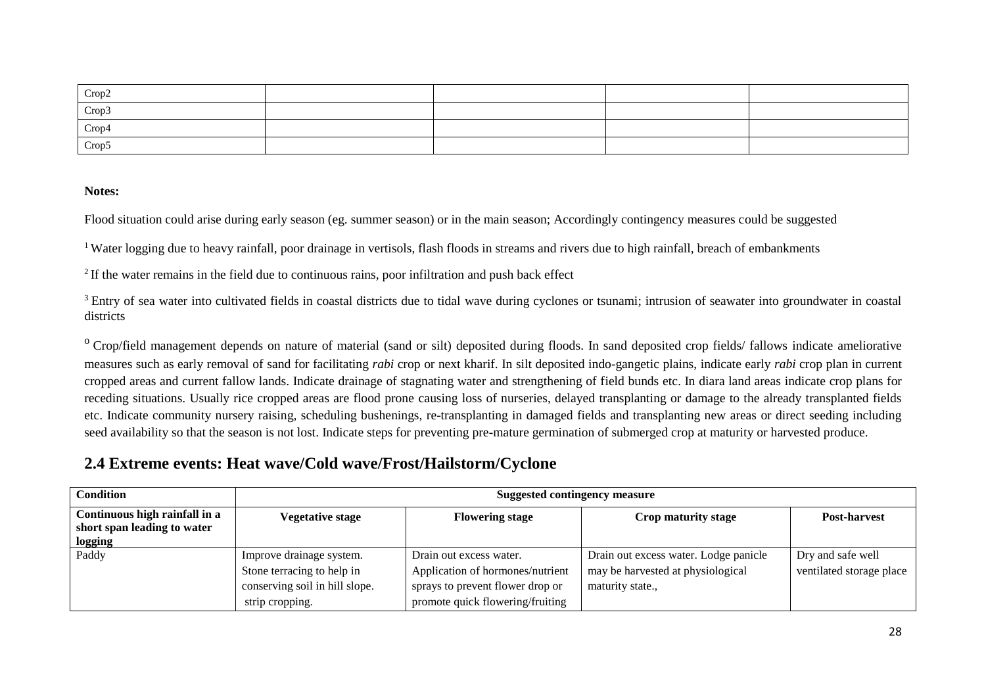| Crop2 |  |  |
|-------|--|--|
| Crop3 |  |  |
| Crop4 |  |  |
| Crop5 |  |  |

#### **Notes:**

Flood situation could arise during early season (eg. summer season) or in the main season; Accordingly contingency measures could be suggested

<sup>1</sup> Water logging due to heavy rainfall, poor drainage in vertisols, flash floods in streams and rivers due to high rainfall, breach of embankments

<sup>2</sup> If the water remains in the field due to continuous rains, poor infiltration and push back effect

<sup>3</sup> Entry of sea water into cultivated fields in coastal districts due to tidal wave during cyclones or tsunami; intrusion of seawater into groundwater in coastal districts

<sup>o</sup> Crop/field management depends on nature of material (sand or silt) deposited during floods. In sand deposited crop fields/ fallows indicate ameliorative measures such as early removal of sand for facilitating *rabi* crop or next kharif. In silt deposited indo-gangetic plains, indicate early *rabi* crop plan in current cropped areas and current fallow lands. Indicate drainage of stagnating water and strengthening of field bunds etc. In diara land areas indicate crop plans for receding situations. Usually rice cropped areas are flood prone causing loss of nurseries, delayed transplanting or damage to the already transplanted fields etc. Indicate community nursery raising, scheduling bushenings, re-transplanting in damaged fields and transplanting new areas or direct seeding including seed availability so that the season is not lost. Indicate steps for preventing pre-mature germination of submerged crop at maturity or harvested produce.

### **2.4 Extreme events: Heat wave/Cold wave/Frost/Hailstorm/Cyclone**

| <b>Condition</b>                                                        | <b>Suggested contingency measure</b>                                                                        |                                                                                                                                     |                                                                                                |                                               |  |  |
|-------------------------------------------------------------------------|-------------------------------------------------------------------------------------------------------------|-------------------------------------------------------------------------------------------------------------------------------------|------------------------------------------------------------------------------------------------|-----------------------------------------------|--|--|
| Continuous high rainfall in a<br>short span leading to water<br>logging | <b>Vegetative stage</b>                                                                                     | <b>Flowering stage</b>                                                                                                              | Crop maturity stage                                                                            | <b>Post-harvest</b>                           |  |  |
| Paddy                                                                   | Improve drainage system.<br>Stone terracing to help in<br>conserving soil in hill slope.<br>strip cropping. | Drain out excess water.<br>Application of hormones/nutrient<br>sprays to prevent flower drop or<br>promote quick flowering/fruiting | Drain out excess water. Lodge panicle<br>may be harvested at physiological<br>maturity state., | Dry and safe well<br>ventilated storage place |  |  |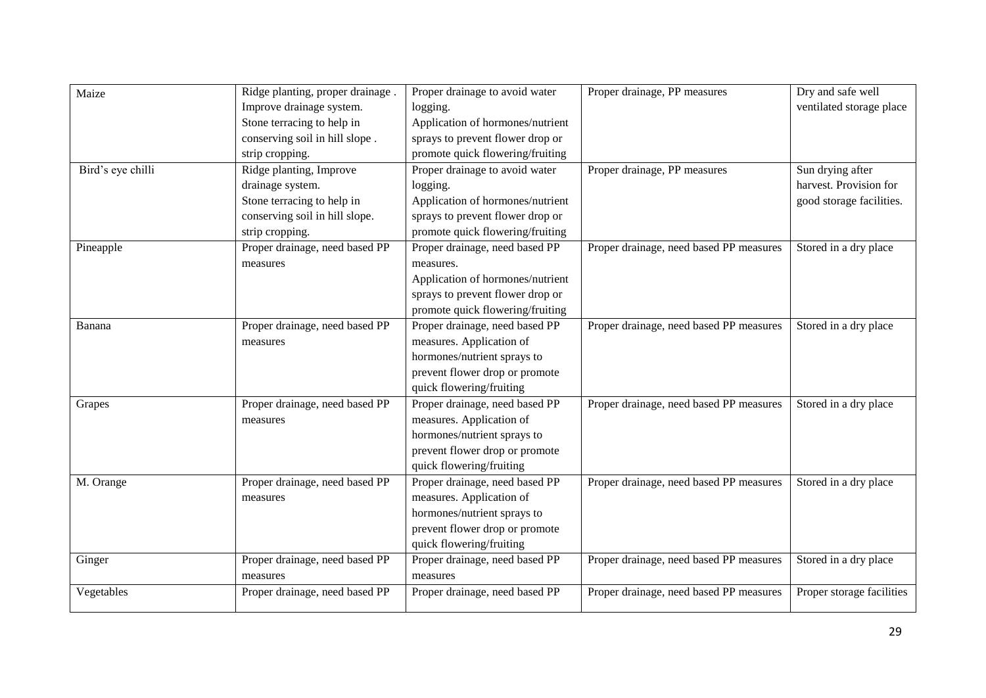| Maize<br>Bird's eye chilli | Ridge planting, proper drainage.<br>Improve drainage system.<br>Stone terracing to help in<br>conserving soil in hill slope.<br>strip cropping.<br>Ridge planting, Improve<br>drainage system.<br>Stone terracing to help in<br>conserving soil in hill slope.<br>strip cropping. | Proper drainage to avoid water<br>logging.<br>Application of hormones/nutrient<br>sprays to prevent flower drop or<br>promote quick flowering/fruiting<br>Proper drainage to avoid water<br>logging.<br>Application of hormones/nutrient<br>sprays to prevent flower drop or<br>promote quick flowering/fruiting | Proper drainage, PP measures<br>Proper drainage, PP measures | Dry and safe well<br>ventilated storage place<br>Sun drying after<br>harvest. Provision for<br>good storage facilities. |
|----------------------------|-----------------------------------------------------------------------------------------------------------------------------------------------------------------------------------------------------------------------------------------------------------------------------------|------------------------------------------------------------------------------------------------------------------------------------------------------------------------------------------------------------------------------------------------------------------------------------------------------------------|--------------------------------------------------------------|-------------------------------------------------------------------------------------------------------------------------|
| Pineapple                  | Proper drainage, need based PP<br>measures                                                                                                                                                                                                                                        | Proper drainage, need based PP<br>measures.<br>Application of hormones/nutrient<br>sprays to prevent flower drop or<br>promote quick flowering/fruiting                                                                                                                                                          | Proper drainage, need based PP measures                      | Stored in a dry place                                                                                                   |
| Banana                     | Proper drainage, need based PP<br>measures                                                                                                                                                                                                                                        | Proper drainage, need based PP<br>measures. Application of<br>hormones/nutrient sprays to<br>prevent flower drop or promote<br>quick flowering/fruiting                                                                                                                                                          | Proper drainage, need based PP measures                      | Stored in a dry place                                                                                                   |
| Grapes                     | Proper drainage, need based PP<br>measures                                                                                                                                                                                                                                        | Proper drainage, need based PP<br>measures. Application of<br>hormones/nutrient sprays to<br>prevent flower drop or promote<br>quick flowering/fruiting                                                                                                                                                          | Proper drainage, need based PP measures                      | Stored in a dry place                                                                                                   |
| M. Orange                  | Proper drainage, need based PP<br>measures                                                                                                                                                                                                                                        | Proper drainage, need based PP<br>measures. Application of<br>hormones/nutrient sprays to<br>prevent flower drop or promote<br>quick flowering/fruiting                                                                                                                                                          | Proper drainage, need based PP measures                      | Stored in a dry place                                                                                                   |
| Ginger                     | Proper drainage, need based PP<br>measures                                                                                                                                                                                                                                        | Proper drainage, need based PP<br>measures                                                                                                                                                                                                                                                                       | Proper drainage, need based PP measures                      | Stored in a dry place                                                                                                   |
| Vegetables                 | Proper drainage, need based PP                                                                                                                                                                                                                                                    | Proper drainage, need based PP                                                                                                                                                                                                                                                                                   | Proper drainage, need based PP measures                      | Proper storage facilities                                                                                               |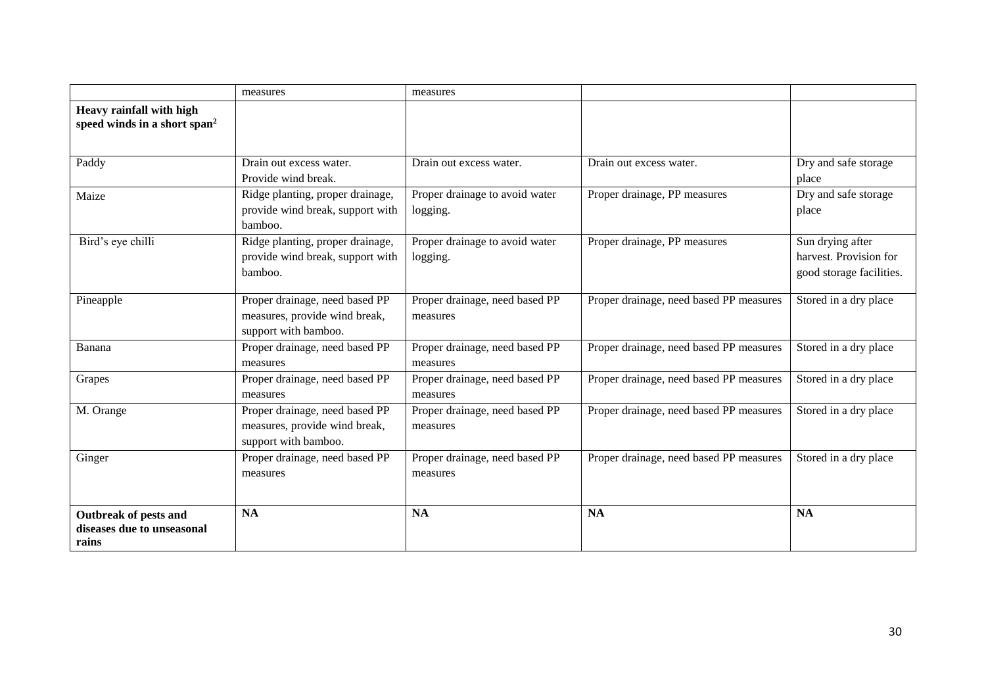|                                                                      | measures                                                                                | measures                                   |                                         |                                                                        |
|----------------------------------------------------------------------|-----------------------------------------------------------------------------------------|--------------------------------------------|-----------------------------------------|------------------------------------------------------------------------|
| Heavy rainfall with high<br>speed winds in a short span <sup>2</sup> |                                                                                         |                                            |                                         |                                                                        |
| Paddy                                                                | Drain out excess water.<br>Provide wind break.                                          | Drain out excess water.                    | Drain out excess water.                 | Dry and safe storage<br>place                                          |
| Maize                                                                | Ridge planting, proper drainage,<br>provide wind break, support with<br>bamboo.         | Proper drainage to avoid water<br>logging. | Proper drainage, PP measures            | Dry and safe storage<br>place                                          |
| Bird's eye chilli                                                    | Ridge planting, proper drainage,<br>provide wind break, support with<br>bamboo.         | Proper drainage to avoid water<br>logging. | Proper drainage, PP measures            | Sun drying after<br>harvest. Provision for<br>good storage facilities. |
| Pineapple                                                            | Proper drainage, need based PP<br>measures, provide wind break,<br>support with bamboo. | Proper drainage, need based PP<br>measures | Proper drainage, need based PP measures | Stored in a dry place                                                  |
| Banana                                                               | Proper drainage, need based PP<br>measures                                              | Proper drainage, need based PP<br>measures | Proper drainage, need based PP measures | Stored in a dry place                                                  |
| Grapes                                                               | Proper drainage, need based PP<br>measures                                              | Proper drainage, need based PP<br>measures | Proper drainage, need based PP measures | Stored in a dry place                                                  |
| M. Orange                                                            | Proper drainage, need based PP<br>measures, provide wind break,<br>support with bamboo. | Proper drainage, need based PP<br>measures | Proper drainage, need based PP measures | Stored in a dry place                                                  |
| Ginger                                                               | Proper drainage, need based PP<br>measures                                              | Proper drainage, need based PP<br>measures | Proper drainage, need based PP measures | Stored in a dry place                                                  |
| Outbreak of pests and<br>diseases due to unseasonal<br>rains         | <b>NA</b>                                                                               | <b>NA</b>                                  | <b>NA</b>                               | <b>NA</b>                                                              |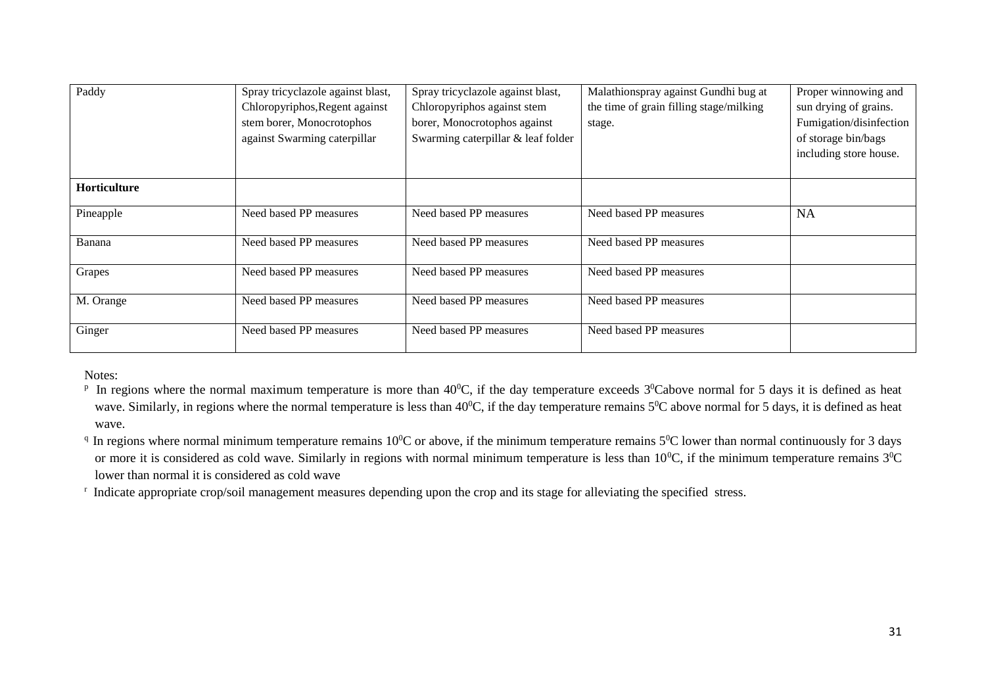| Paddy               | Spray tricyclazole against blast,<br>Chloropyriphos, Regent against<br>stem borer, Monocrotophos<br>against Swarming caterpillar | Spray tricyclazole against blast,<br>Chloropyriphos against stem<br>borer, Monocrotophos against<br>Swarming caterpillar & leaf folder | Malathionspray against Gundhi bug at<br>the time of grain filling stage/milking<br>stage. | Proper winnowing and<br>sun drying of grains.<br>Fumigation/disinfection<br>of storage bin/bags<br>including store house. |
|---------------------|----------------------------------------------------------------------------------------------------------------------------------|----------------------------------------------------------------------------------------------------------------------------------------|-------------------------------------------------------------------------------------------|---------------------------------------------------------------------------------------------------------------------------|
| <b>Horticulture</b> |                                                                                                                                  |                                                                                                                                        |                                                                                           |                                                                                                                           |
| Pineapple           | Need based PP measures                                                                                                           | Need based PP measures                                                                                                                 | Need based PP measures                                                                    | <b>NA</b>                                                                                                                 |
| Banana              | Need based PP measures                                                                                                           | Need based PP measures                                                                                                                 | Need based PP measures                                                                    |                                                                                                                           |
| Grapes              | Need based PP measures                                                                                                           | Need based PP measures                                                                                                                 | Need based PP measures                                                                    |                                                                                                                           |
| M. Orange           | Need based PP measures                                                                                                           | Need based PP measures                                                                                                                 | Need based PP measures                                                                    |                                                                                                                           |
| Ginger              | Need based PP measures                                                                                                           | Need based PP measures                                                                                                                 | Need based PP measures                                                                    |                                                                                                                           |

Notes:

<sup>p</sup> In regions where the normal maximum temperature is more than  $40^{\circ}$ C, if the day temperature exceeds  $3^{\circ}$ Cabove normal for 5 days it is defined as heat wave. Similarly, in regions where the normal temperature is less than  $40^{\circ}$ C, if the day temperature remains  $5^{\circ}$ C above normal for 5 days, it is defined as heat wave.

<sup>q</sup> In regions where normal minimum temperature remains  $10^{0}$ C or above, if the minimum temperature remains  $5^{0}$ C lower than normal continuously for 3 days or more it is considered as cold wave. Similarly in regions with normal minimum temperature is less than  $10^{\circ}$ C, if the minimum temperature remains  $3^{\circ}$ C lower than normal it is considered as cold wave

<sup>r</sup> Indicate appropriate crop/soil management measures depending upon the crop and its stage for alleviating the specified stress.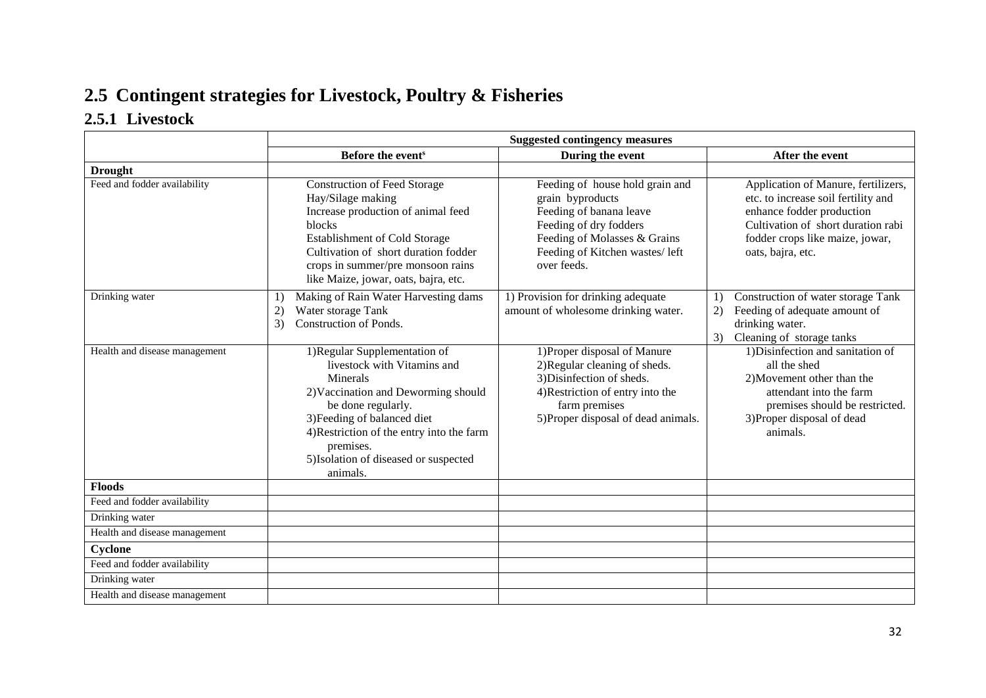# **2.5 Contingent strategies for Livestock, Poultry & Fisheries**

### **2.5.1 Livestock**

|                               |                                                                                                                                                                                                                                                                                     | <b>Suggested contingency measures</b>                                                                                                                                                     |                                                                                                                                                                                                       |  |  |
|-------------------------------|-------------------------------------------------------------------------------------------------------------------------------------------------------------------------------------------------------------------------------------------------------------------------------------|-------------------------------------------------------------------------------------------------------------------------------------------------------------------------------------------|-------------------------------------------------------------------------------------------------------------------------------------------------------------------------------------------------------|--|--|
|                               | Before the event <sup>s</sup>                                                                                                                                                                                                                                                       | During the event                                                                                                                                                                          | After the event                                                                                                                                                                                       |  |  |
| <b>Drought</b>                |                                                                                                                                                                                                                                                                                     |                                                                                                                                                                                           |                                                                                                                                                                                                       |  |  |
| Feed and fodder availability  | <b>Construction of Feed Storage</b><br>Hay/Silage making<br>Increase production of animal feed<br>blocks<br><b>Establishment of Cold Storage</b><br>Cultivation of short duration fodder<br>crops in summer/pre monsoon rains<br>like Maize, jowar, oats, bajra, etc.               | Feeding of house hold grain and<br>grain byproducts<br>Feeding of banana leave<br>Feeding of dry fodders<br>Feeding of Molasses & Grains<br>Feeding of Kitchen wastes/left<br>over feeds. | Application of Manure, fertilizers,<br>etc. to increase soil fertility and<br>enhance fodder production<br>Cultivation of short duration rabi<br>fodder crops like maize, jowar,<br>oats, bajra, etc. |  |  |
| Drinking water                | Making of Rain Water Harvesting dams<br>1)<br>Water storage Tank<br>(2)<br>Construction of Ponds.<br>3)                                                                                                                                                                             | 1) Provision for drinking adequate<br>amount of wholesome drinking water.                                                                                                                 | Construction of water storage Tank<br>1)<br>Feeding of adequate amount of<br>2)<br>drinking water.<br>Cleaning of storage tanks<br>3)                                                                 |  |  |
| Health and disease management | 1) Regular Supplementation of<br>livestock with Vitamins and<br>Minerals<br>2) Vaccination and Deworming should<br>be done regularly.<br>3) Feeding of balanced diet<br>4) Restriction of the entry into the farm<br>premises.<br>5) Isolation of diseased or suspected<br>animals. | 1) Proper disposal of Manure<br>2) Regular cleaning of sheds.<br>3) Disinfection of sheds.<br>4) Restriction of entry into the<br>farm premises<br>5) Proper disposal of dead animals.    | 1) Disinfection and sanitation of<br>all the shed<br>2) Movement other than the<br>attendant into the farm<br>premises should be restricted.<br>3) Proper disposal of dead<br>animals.                |  |  |
| Floods                        |                                                                                                                                                                                                                                                                                     |                                                                                                                                                                                           |                                                                                                                                                                                                       |  |  |
| Feed and fodder availability  |                                                                                                                                                                                                                                                                                     |                                                                                                                                                                                           |                                                                                                                                                                                                       |  |  |
| Drinking water                |                                                                                                                                                                                                                                                                                     |                                                                                                                                                                                           |                                                                                                                                                                                                       |  |  |
| Health and disease management |                                                                                                                                                                                                                                                                                     |                                                                                                                                                                                           |                                                                                                                                                                                                       |  |  |
| Cyclone                       |                                                                                                                                                                                                                                                                                     |                                                                                                                                                                                           |                                                                                                                                                                                                       |  |  |
| Feed and fodder availability  |                                                                                                                                                                                                                                                                                     |                                                                                                                                                                                           |                                                                                                                                                                                                       |  |  |
| Drinking water                |                                                                                                                                                                                                                                                                                     |                                                                                                                                                                                           |                                                                                                                                                                                                       |  |  |
| Health and disease management |                                                                                                                                                                                                                                                                                     |                                                                                                                                                                                           |                                                                                                                                                                                                       |  |  |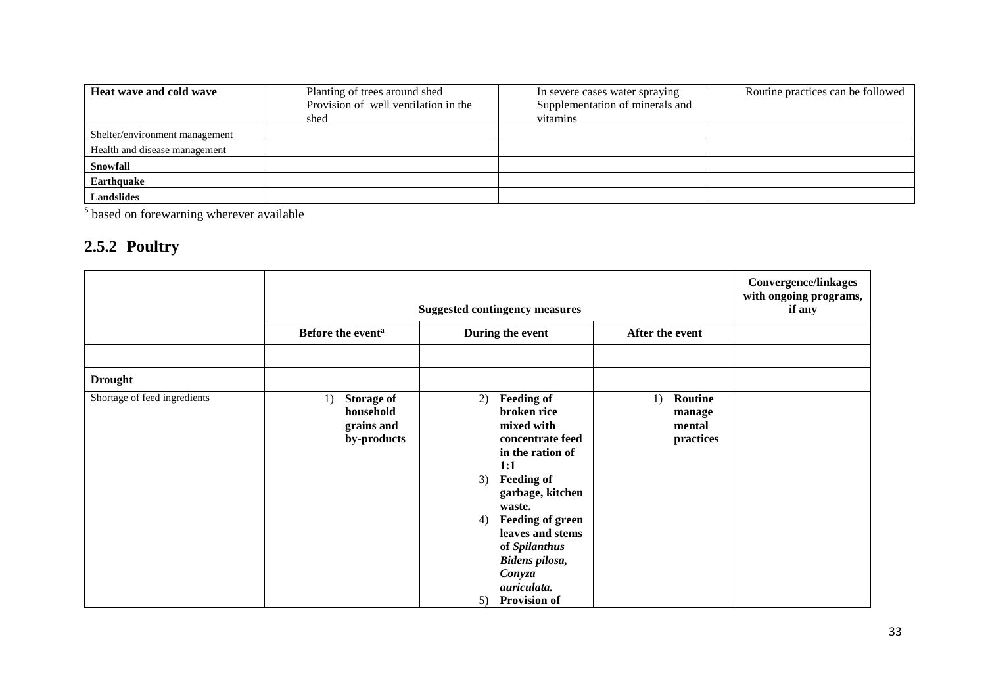| Heat wave and cold wave        | Planting of trees around shed        | In severe cases water spraying  | Routine practices can be followed |
|--------------------------------|--------------------------------------|---------------------------------|-----------------------------------|
|                                | Provision of well ventilation in the | Supplementation of minerals and |                                   |
|                                | shed                                 | vitamins                        |                                   |
| Shelter/environment management |                                      |                                 |                                   |
| Health and disease management  |                                      |                                 |                                   |
| Snowfall                       |                                      |                                 |                                   |
| Earthquake                     |                                      |                                 |                                   |
| <b>Landslides</b>              |                                      |                                 |                                   |

s based on forewarning wherever available

## **2.5.2 Poultry**

|                              | <b>Suggested contingency measures</b>                             |                                                                                                                                                                                                                                                                                                            |                                                | <b>Convergence/linkages</b><br>with ongoing programs,<br>if any |
|------------------------------|-------------------------------------------------------------------|------------------------------------------------------------------------------------------------------------------------------------------------------------------------------------------------------------------------------------------------------------------------------------------------------------|------------------------------------------------|-----------------------------------------------------------------|
|                              | Before the event <sup>a</sup>                                     | During the event                                                                                                                                                                                                                                                                                           | After the event                                |                                                                 |
|                              |                                                                   |                                                                                                                                                                                                                                                                                                            |                                                |                                                                 |
| <b>Drought</b>               |                                                                   |                                                                                                                                                                                                                                                                                                            |                                                |                                                                 |
| Shortage of feed ingredients | <b>Storage of</b><br>1)<br>household<br>grains and<br>by-products | <b>Feeding of</b><br>2)<br>broken rice<br>mixed with<br>concentrate feed<br>in the ration of<br>1:1<br><b>Feeding of</b><br>3)<br>garbage, kitchen<br>waste.<br><b>Feeding of green</b><br>4)<br>leaves and stems<br>of Spilanthus<br>Bidens pilosa,<br>Conyza<br>auriculata.<br><b>Provision of</b><br>5) | Routine<br>1)<br>manage<br>mental<br>practices |                                                                 |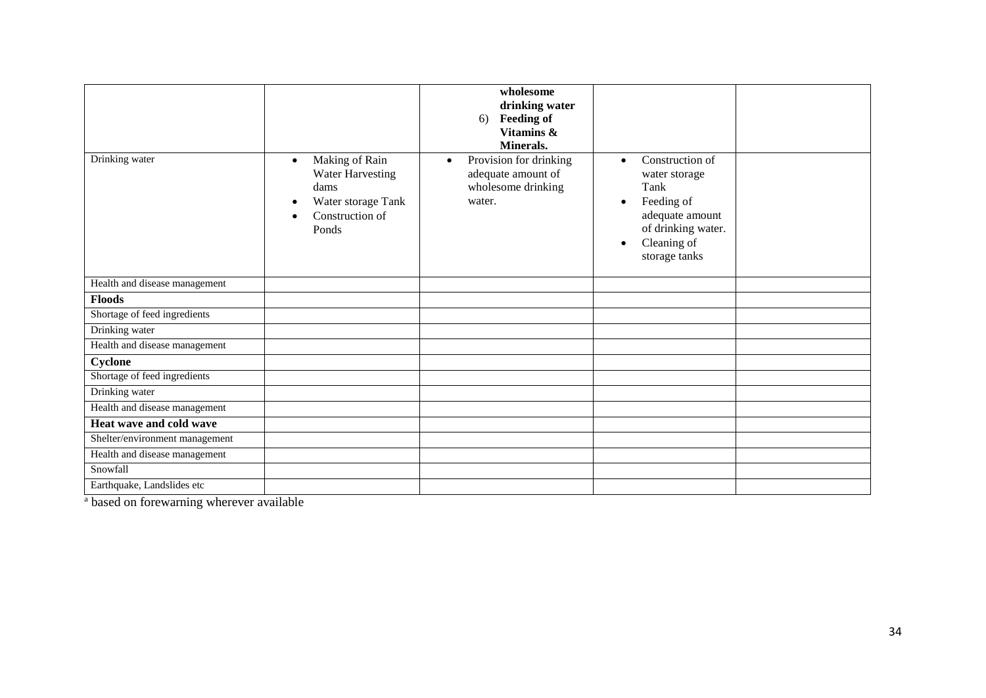| Drinking water                 | Making of Rain<br>$\bullet$<br><b>Water Harvesting</b><br>dams<br>Water storage Tank<br>Construction of<br>Ponds | wholesome<br>drinking water<br><b>Feeding of</b><br>6)<br>Vitamins &<br>Minerals.<br>Provision for drinking<br>$\bullet$<br>adequate amount of<br>wholesome drinking<br>water. | Construction of<br>$\bullet$<br>water storage<br>Tank<br>Feeding of<br>$\bullet$<br>adequate amount<br>of drinking water.<br>Cleaning of<br>$\bullet$<br>storage tanks |  |
|--------------------------------|------------------------------------------------------------------------------------------------------------------|--------------------------------------------------------------------------------------------------------------------------------------------------------------------------------|------------------------------------------------------------------------------------------------------------------------------------------------------------------------|--|
| Health and disease management  |                                                                                                                  |                                                                                                                                                                                |                                                                                                                                                                        |  |
| <b>Floods</b>                  |                                                                                                                  |                                                                                                                                                                                |                                                                                                                                                                        |  |
| Shortage of feed ingredients   |                                                                                                                  |                                                                                                                                                                                |                                                                                                                                                                        |  |
| Drinking water                 |                                                                                                                  |                                                                                                                                                                                |                                                                                                                                                                        |  |
| Health and disease management  |                                                                                                                  |                                                                                                                                                                                |                                                                                                                                                                        |  |
| Cyclone                        |                                                                                                                  |                                                                                                                                                                                |                                                                                                                                                                        |  |
| Shortage of feed ingredients   |                                                                                                                  |                                                                                                                                                                                |                                                                                                                                                                        |  |
| Drinking water                 |                                                                                                                  |                                                                                                                                                                                |                                                                                                                                                                        |  |
| Health and disease management  |                                                                                                                  |                                                                                                                                                                                |                                                                                                                                                                        |  |
| Heat wave and cold wave        |                                                                                                                  |                                                                                                                                                                                |                                                                                                                                                                        |  |
| Shelter/environment management |                                                                                                                  |                                                                                                                                                                                |                                                                                                                                                                        |  |
| Health and disease management  |                                                                                                                  |                                                                                                                                                                                |                                                                                                                                                                        |  |
| Snowfall                       |                                                                                                                  |                                                                                                                                                                                |                                                                                                                                                                        |  |
| Earthquake, Landslides etc     |                                                                                                                  |                                                                                                                                                                                |                                                                                                                                                                        |  |

<sup>a</sup> based on forewarning wherever available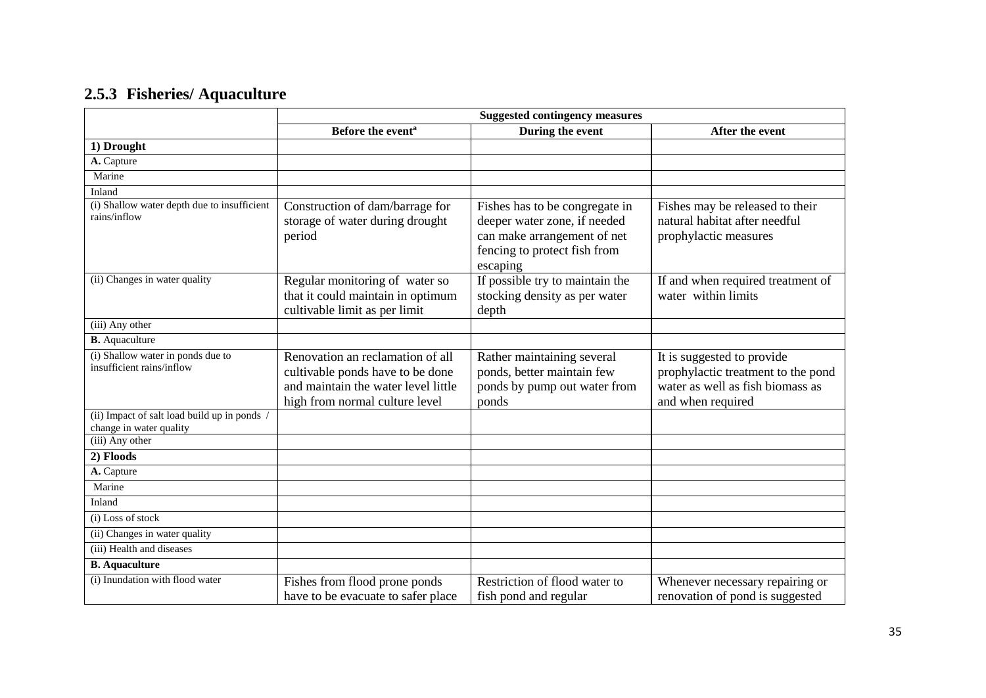## **2.5.3 Fisheries/ Aquaculture**

|                                                                         | <b>Suggested contingency measures</b>                                                                                                         |                                                                                                                                           |                                                                                                                           |  |
|-------------------------------------------------------------------------|-----------------------------------------------------------------------------------------------------------------------------------------------|-------------------------------------------------------------------------------------------------------------------------------------------|---------------------------------------------------------------------------------------------------------------------------|--|
|                                                                         | Before the event <sup>a</sup>                                                                                                                 | During the event                                                                                                                          | After the event                                                                                                           |  |
| 1) Drought                                                              |                                                                                                                                               |                                                                                                                                           |                                                                                                                           |  |
| A. Capture                                                              |                                                                                                                                               |                                                                                                                                           |                                                                                                                           |  |
| Marine                                                                  |                                                                                                                                               |                                                                                                                                           |                                                                                                                           |  |
| Inland                                                                  |                                                                                                                                               |                                                                                                                                           |                                                                                                                           |  |
| (i) Shallow water depth due to insufficient<br>rains/inflow             | Construction of dam/barrage for<br>storage of water during drought<br>period                                                                  | Fishes has to be congregate in<br>deeper water zone, if needed<br>can make arrangement of net<br>fencing to protect fish from<br>escaping | Fishes may be released to their<br>natural habitat after needful<br>prophylactic measures                                 |  |
| (ii) Changes in water quality                                           | Regular monitoring of water so<br>that it could maintain in optimum<br>cultivable limit as per limit                                          | If possible try to maintain the<br>stocking density as per water<br>depth                                                                 | If and when required treatment of<br>water within limits                                                                  |  |
| (iii) Any other                                                         |                                                                                                                                               |                                                                                                                                           |                                                                                                                           |  |
| <b>B.</b> Aquaculture                                                   |                                                                                                                                               |                                                                                                                                           |                                                                                                                           |  |
| (i) Shallow water in ponds due to<br>insufficient rains/inflow          | Renovation an reclamation of all<br>cultivable ponds have to be done<br>and maintain the water level little<br>high from normal culture level | Rather maintaining several<br>ponds, better maintain few<br>ponds by pump out water from<br>ponds                                         | It is suggested to provide<br>prophylactic treatment to the pond<br>water as well as fish biomass as<br>and when required |  |
| (ii) Impact of salt load build up in ponds /<br>change in water quality |                                                                                                                                               |                                                                                                                                           |                                                                                                                           |  |
| (iii) Any other                                                         |                                                                                                                                               |                                                                                                                                           |                                                                                                                           |  |
| 2) Floods                                                               |                                                                                                                                               |                                                                                                                                           |                                                                                                                           |  |
| A. Capture                                                              |                                                                                                                                               |                                                                                                                                           |                                                                                                                           |  |
| Marine                                                                  |                                                                                                                                               |                                                                                                                                           |                                                                                                                           |  |
| Inland                                                                  |                                                                                                                                               |                                                                                                                                           |                                                                                                                           |  |
| (i) Loss of stock                                                       |                                                                                                                                               |                                                                                                                                           |                                                                                                                           |  |
| (ii) Changes in water quality                                           |                                                                                                                                               |                                                                                                                                           |                                                                                                                           |  |
| (iii) Health and diseases                                               |                                                                                                                                               |                                                                                                                                           |                                                                                                                           |  |
| <b>B.</b> Aquaculture                                                   |                                                                                                                                               |                                                                                                                                           |                                                                                                                           |  |
| (i) Inundation with flood water                                         | Fishes from flood prone ponds<br>have to be evacuate to safer place                                                                           | Restriction of flood water to<br>fish pond and regular                                                                                    | Whenever necessary repairing or<br>renovation of pond is suggested                                                        |  |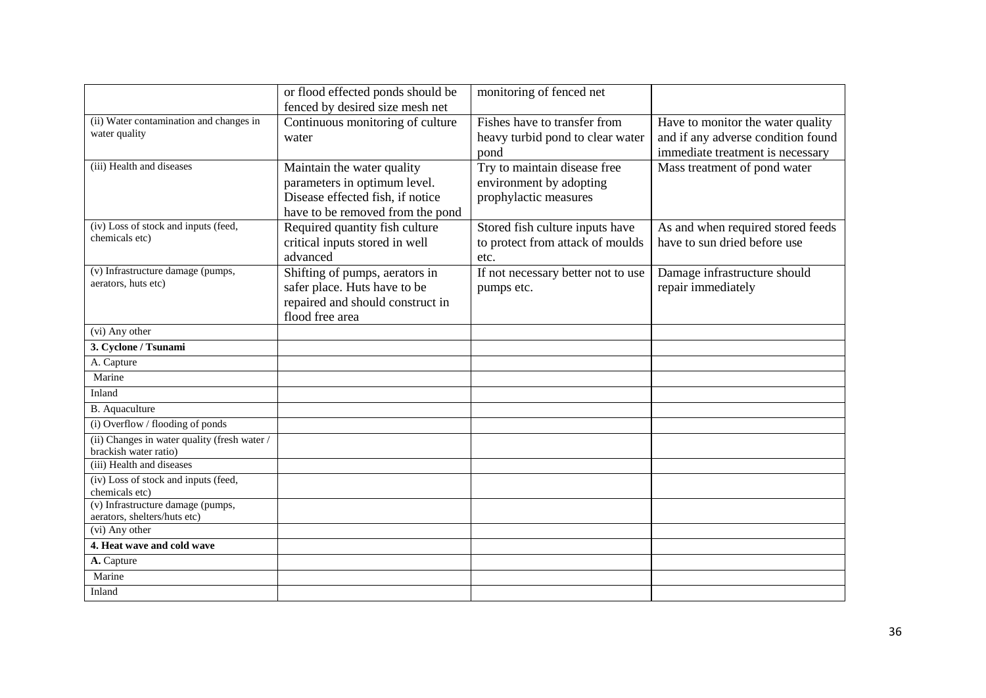|                                                                       | or flood effected ponds should be | monitoring of fenced net           |                                    |
|-----------------------------------------------------------------------|-----------------------------------|------------------------------------|------------------------------------|
|                                                                       | fenced by desired size mesh net   |                                    |                                    |
| (ii) Water contamination and changes in                               | Continuous monitoring of culture  | Fishes have to transfer from       | Have to monitor the water quality  |
| water quality                                                         | water                             | heavy turbid pond to clear water   | and if any adverse condition found |
|                                                                       |                                   | pond                               | immediate treatment is necessary   |
| (iii) Health and diseases                                             | Maintain the water quality        | Try to maintain disease free       | Mass treatment of pond water       |
|                                                                       | parameters in optimum level.      | environment by adopting            |                                    |
|                                                                       | Disease effected fish, if notice  | prophylactic measures              |                                    |
|                                                                       | have to be removed from the pond  |                                    |                                    |
| $\overline{$ (iv) Loss of stock and inputs (feed,                     | Required quantity fish culture    | Stored fish culture inputs have    | As and when required stored feeds  |
| chemicals etc)                                                        | critical inputs stored in well    | to protect from attack of moulds   | have to sun dried before use       |
|                                                                       | advanced                          | etc.                               |                                    |
| (v) Infrastructure damage (pumps,                                     | Shifting of pumps, aerators in    | If not necessary better not to use | Damage infrastructure should       |
| aerators, huts etc)                                                   | safer place. Huts have to be      | pumps etc.                         | repair immediately                 |
|                                                                       | repaired and should construct in  |                                    |                                    |
|                                                                       | flood free area                   |                                    |                                    |
| (vi) Any other                                                        |                                   |                                    |                                    |
| 3. Cyclone / Tsunami                                                  |                                   |                                    |                                    |
| A. Capture                                                            |                                   |                                    |                                    |
| Marine                                                                |                                   |                                    |                                    |
| Inland                                                                |                                   |                                    |                                    |
| <b>B.</b> Aquaculture                                                 |                                   |                                    |                                    |
| (i) Overflow / flooding of ponds                                      |                                   |                                    |                                    |
| (ii) Changes in water quality (fresh water /<br>brackish water ratio) |                                   |                                    |                                    |
| (iii) Health and diseases                                             |                                   |                                    |                                    |
| (iv) Loss of stock and inputs (feed,                                  |                                   |                                    |                                    |
| chemicals etc)                                                        |                                   |                                    |                                    |
| (v) Infrastructure damage (pumps,<br>aerators, shelters/huts etc)     |                                   |                                    |                                    |
| (vi) Any other                                                        |                                   |                                    |                                    |
| 4. Heat wave and cold wave                                            |                                   |                                    |                                    |
| A. Capture                                                            |                                   |                                    |                                    |
| Marine                                                                |                                   |                                    |                                    |
| Inland                                                                |                                   |                                    |                                    |